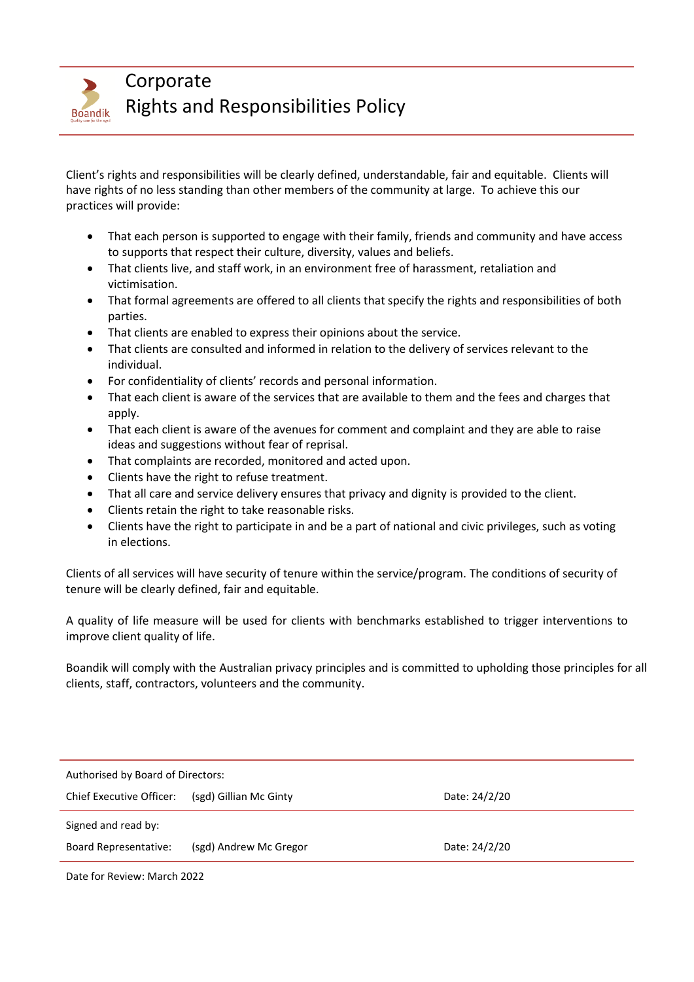

Corporate Rights and Responsibilities Policy

Client's rights and responsibilities will be clearly defined, understandable, fair and equitable. Clients will have rights of no less standing than other members of the community at large. To achieve this our practices will provide:

- That each person is supported to engage with their family, friends and community and have access to supports that respect their culture, diversity, values and beliefs.
- That clients live, and staff work, in an environment free of harassment, retaliation and victimisation.
- That formal agreements are offered to all clients that specify the rights and responsibilities of both parties.
- That clients are enabled to express their opinions about the service.
- That clients are consulted and informed in relation to the delivery of services relevant to the individual.
- For confidentiality of clients' records and personal information.
- That each client is aware of the services that are available to them and the fees and charges that apply.
- That each client is aware of the avenues for comment and complaint and they are able to raise ideas and suggestions without fear of reprisal.
- That complaints are recorded, monitored and acted upon.
- Clients have the right to refuse treatment.
- That all care and service delivery ensures that privacy and dignity is provided to the client.
- Clients retain the right to take reasonable risks.
- Clients have the right to participate in and be a part of national and civic privileges, such as voting in elections.

Clients of all services will have security of tenure within the service/program. The conditions of security of tenure will be clearly defined, fair and equitable.

A quality of life measure will be used for clients with benchmarks established to trigger interventions to improve client quality of life.

Boandik will comply with the Australian privacy principles and is committed to upholding those principles for all clients, staff, contractors, volunteers and the community.

| Authorised by Board of Directors: |                        |               |  |  |  |
|-----------------------------------|------------------------|---------------|--|--|--|
| Chief Executive Officer:          | (sgd) Gillian Mc Ginty | Date: 24/2/20 |  |  |  |
| Signed and read by:               |                        |               |  |  |  |
| <b>Board Representative:</b>      | (sgd) Andrew Mc Gregor | Date: 24/2/20 |  |  |  |
|                                   |                        |               |  |  |  |

Date for Review: March 2022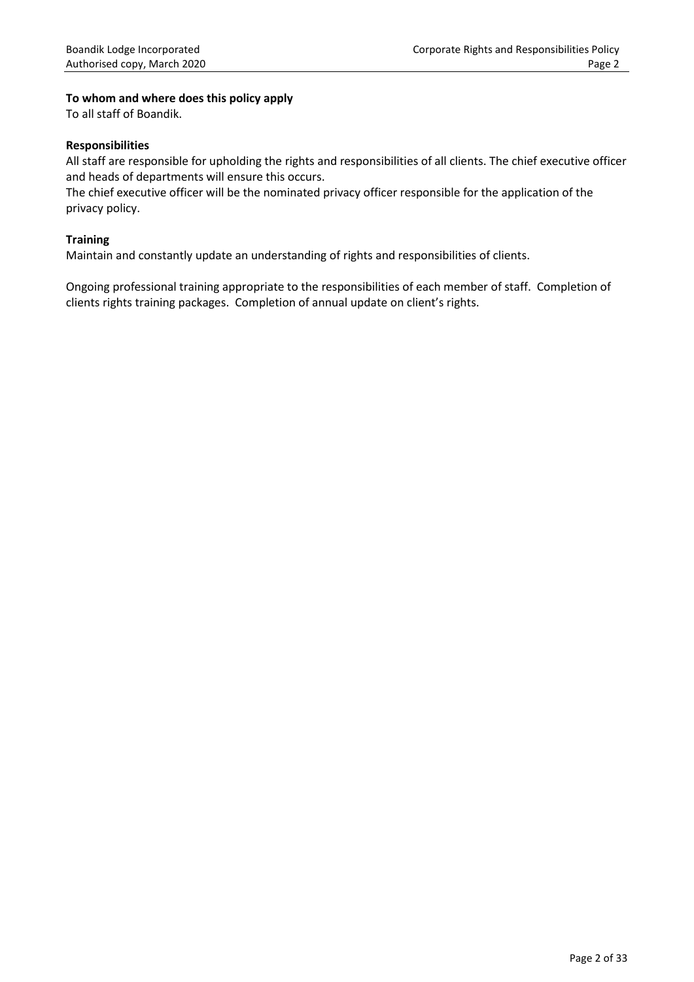## **To whom and where does this policy apply**

To all staff of Boandik.

#### **Responsibilities**

All staff are responsible for upholding the rights and responsibilities of all clients. The chief executive officer and heads of departments will ensure this occurs.

The chief executive officer will be the nominated privacy officer responsible for the application of the privacy policy.

#### **Training**

Maintain and constantly update an understanding of rights and responsibilities of clients.

Ongoing professional training appropriate to the responsibilities of each member of staff. Completion of clients rights training packages. Completion of annual update on client's rights.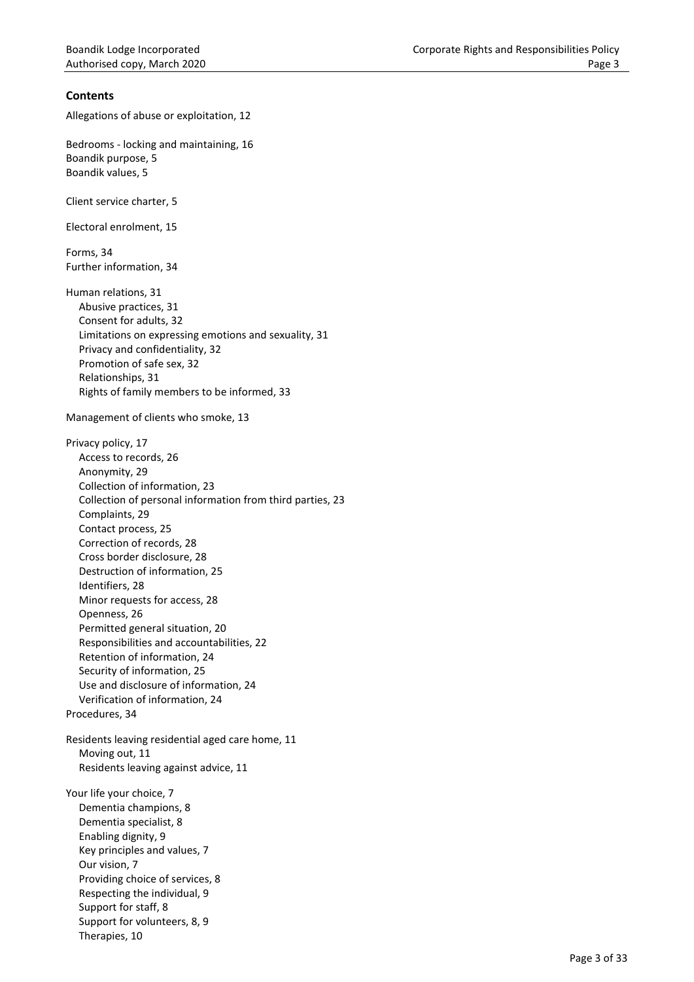## **Contents**

Allegations of abuse or exploitation, 12

Bedrooms - locking and maintaining, 16 Boandik purpose, 5 Boandik values, 5

Client service charter, 5

Electoral enrolment, 15

Forms, 34 Further information, 34

Human relations, 31 Abusive practices, 31 Consent for adults, 32 Limitations on expressing emotions and sexuality, 31 Privacy and confidentiality, 32 Promotion of safe sex, 32 Relationships, 31 Rights of family members to be informed, 33

Management of clients who smoke, 13

Privacy policy, 17 Access to records, 26 Anonymity, 29 Collection of information, 23 Collection of personal information from third parties, 23 Complaints, 29 Contact process, 25 Correction of records, 28 Cross border disclosure, 28 Destruction of information, 25 Identifiers, 28 Minor requests for access, 28 Openness, 26 Permitted general situation, 20 Responsibilities and accountabilities, 22 Retention of information, 24 Security of information, 25 Use and disclosure of information, 24 Verification of information, 24 Procedures, 34 Residents leaving residential aged care home, 11 Moving out, 11 Residents leaving against advice, 11 Your life your choice, 7 Dementia champions, 8 Dementia specialist, 8 Enabling dignity, 9 Key principles and values, 7 Our vision, 7 Providing choice of services, 8

Respecting the individual, 9

Support for staff, 8 Support for volunteers, 8, 9

Therapies, 10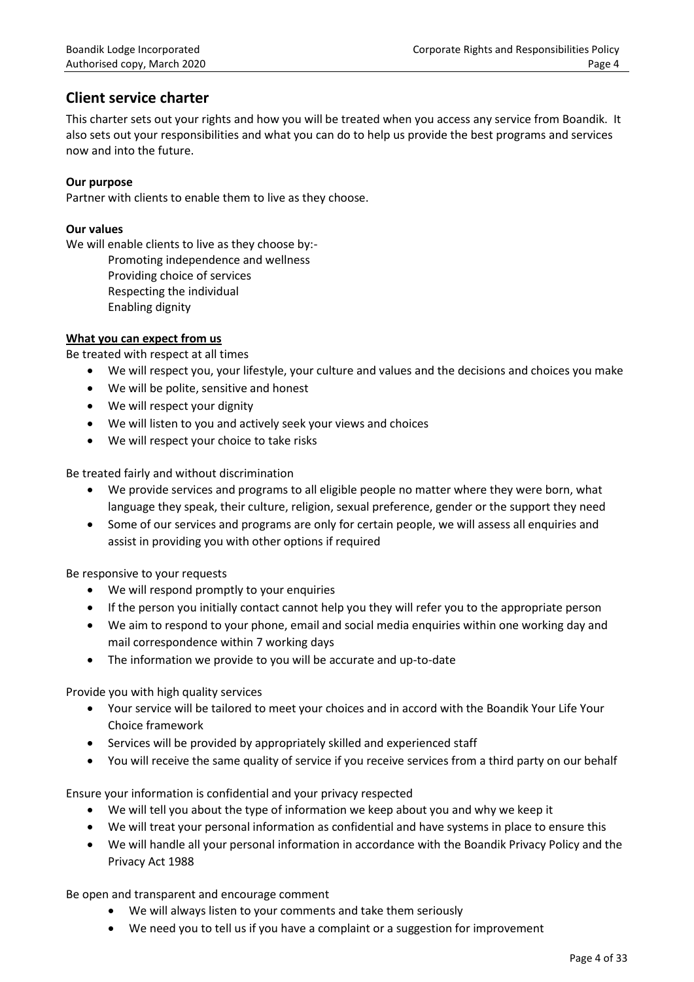# **Client service charter**

This charter sets out your rights and how you will be treated when you access any service from Boandik. It also sets out your responsibilities and what you can do to help us provide the best programs and services now and into the future.

## **Our purpose**

Partner with clients to enable them to live as they choose.

## **Our values**

We will enable clients to live as they choose by:-

Promoting independence and wellness

Providing choice of services

- Respecting the individual
- Enabling dignity

## **What you can expect from us**

Be treated with respect at all times

- We will respect you, your lifestyle, your culture and values and the decisions and choices you make
- We will be polite, sensitive and honest
- We will respect your dignity
- We will listen to you and actively seek your views and choices
- We will respect your choice to take risks

Be treated fairly and without discrimination

- We provide services and programs to all eligible people no matter where they were born, what language they speak, their culture, religion, sexual preference, gender or the support they need
- Some of our services and programs are only for certain people, we will assess all enquiries and assist in providing you with other options if required

Be responsive to your requests

- We will respond promptly to your enquiries
- If the person you initially contact cannot help you they will refer you to the appropriate person
- We aim to respond to your phone, email and social media enquiries within one working day and mail correspondence within 7 working days
- The information we provide to you will be accurate and up-to-date

Provide you with high quality services

- Your service will be tailored to meet your choices and in accord with the Boandik Your Life Your Choice framework
- Services will be provided by appropriately skilled and experienced staff
- You will receive the same quality of service if you receive services from a third party on our behalf

Ensure your information is confidential and your privacy respected

- We will tell you about the type of information we keep about you and why we keep it
- We will treat your personal information as confidential and have systems in place to ensure this
- We will handle all your personal information in accordance with the Boandik Privacy Policy and the Privacy Act 1988

Be open and transparent and encourage comment

- We will always listen to your comments and take them seriously
- We need you to tell us if you have a complaint or a suggestion for improvement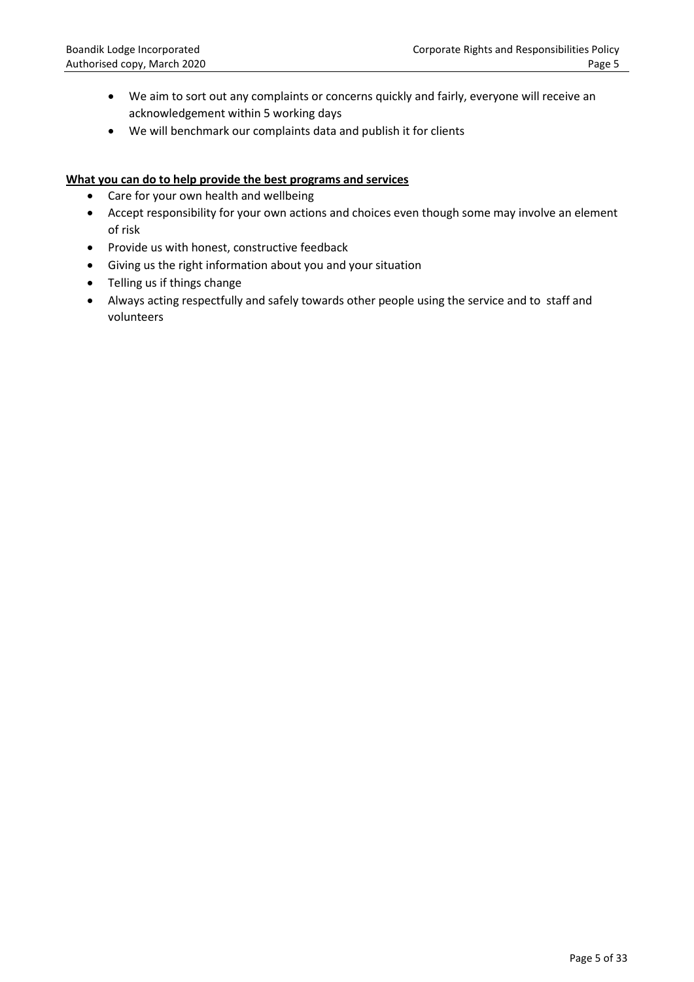- We aim to sort out any complaints or concerns quickly and fairly, everyone will receive an acknowledgement within 5 working days
- We will benchmark our complaints data and publish it for clients

#### **What you can do to help provide the best programs and services**

- Care for your own health and wellbeing
- Accept responsibility for your own actions and choices even though some may involve an element of risk
- Provide us with honest, constructive feedback
- Giving us the right information about you and your situation
- Telling us if things change
- Always acting respectfully and safely towards other people using the service and to staff and volunteers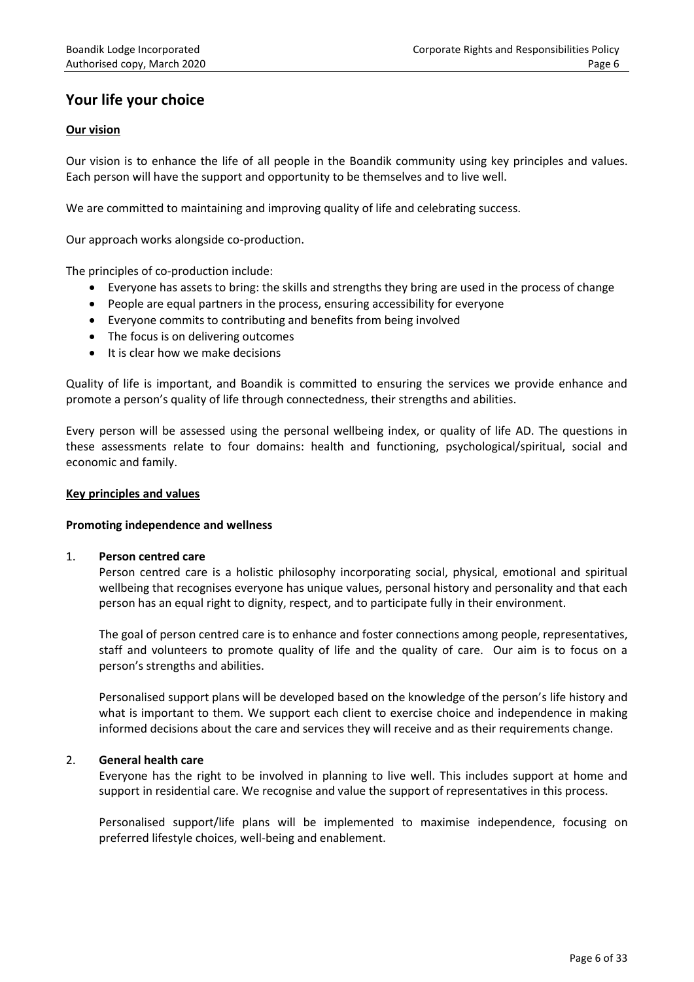# **Your life your choice**

## **Our vision**

Our vision is to enhance the life of all people in the Boandik community using key principles and values. Each person will have the support and opportunity to be themselves and to live well.

We are committed to maintaining and improving quality of life and celebrating success.

Our approach works alongside co-production.

The principles of co-production include:

- Everyone has assets to bring: the skills and strengths they bring are used in the process of change
- People are equal partners in the process, ensuring accessibility for everyone
- Everyone commits to contributing and benefits from being involved
- The focus is on delivering outcomes
- It is clear how we make decisions

Quality of life is important, and Boandik is committed to ensuring the services we provide enhance and promote a person's quality of life through connectedness, their strengths and abilities.

Every person will be assessed using the personal wellbeing index, or quality of life AD. The questions in these assessments relate to four domains: health and functioning, psychological/spiritual, social and economic and family.

#### **Key principles and values**

## **Promoting independence and wellness**

#### 1. **Person centred care**

Person centred care is a holistic philosophy incorporating social, physical, emotional and spiritual wellbeing that recognises everyone has unique values, personal history and personality and that each person has an equal right to dignity, respect, and to participate fully in their environment.

The goal of person centred care is to enhance and foster connections among people, representatives, staff and volunteers to promote quality of life and the quality of care. Our aim is to focus on a person's strengths and abilities.

Personalised support plans will be developed based on the knowledge of the person's life history and what is important to them. We support each client to exercise choice and independence in making informed decisions about the care and services they will receive and as their requirements change.

## 2. **General health care**

Everyone has the right to be involved in planning to live well. This includes support at home and support in residential care. We recognise and value the support of representatives in this process.

Personalised support/life plans will be implemented to maximise independence, focusing on preferred lifestyle choices, well-being and enablement.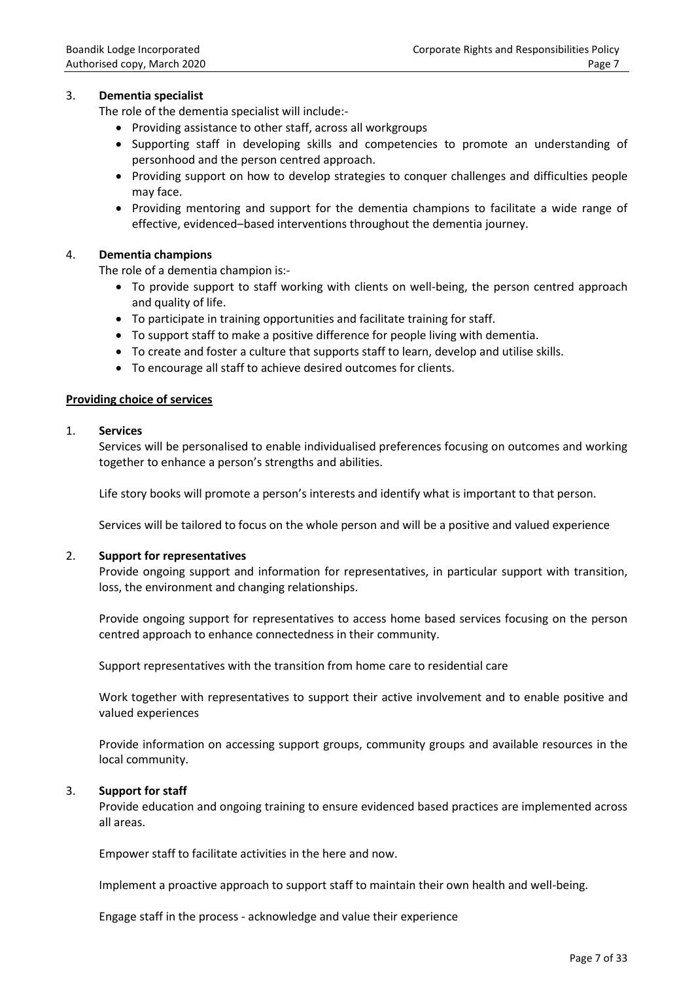#### 3. **Dementia specialist**

The role of the dementia specialist will include:-

- Providing assistance to other staff, across all workgroups
- Supporting staff in developing skills and competencies to promote an understanding of personhood and the person centred approach.
- Providing support on how to develop strategies to conquer challenges and difficulties people may face.
- Providing mentoring and support for the dementia champions to facilitate a wide range of effective, evidenced–based interventions throughout the dementia journey.

#### 4. **Dementia champions**

The role of a dementia champion is:-

- To provide support to staff working with clients on well-being, the person centred approach and quality of life.
- To participate in training opportunities and facilitate training for staff.
- To support staff to make a positive difference for people living with dementia.
- To create and foster a culture that supports staff to learn, develop and utilise skills.
- To encourage all staff to achieve desired outcomes for clients.

#### **Providing choice of services**

#### 1. **Services**

Services will be personalised to enable individualised preferences focusing on outcomes and working together to enhance a person's strengths and abilities.

Life story books will promote a person's interests and identify what is important to that person.

Services will be tailored to focus on the whole person and will be a positive and valued experience

#### 2. **Support for representatives**

Provide ongoing support and information for representatives, in particular support with transition, loss, the environment and changing relationships.

Provide ongoing support for representatives to access home based services focusing on the person centred approach to enhance connectedness in their community.

Support representatives with the transition from home care to residential care

Work together with representatives to support their active involvement and to enable positive and valued experiences

Provide information on accessing support groups, community groups and available resources in the local community.

#### 3. **Support for staff**

Provide education and ongoing training to ensure evidenced based practices are implemented across all areas.

Empower staff to facilitate activities in the here and now.

Implement a proactive approach to support staff to maintain their own health and well-being.

Engage staff in the process - acknowledge and value their experience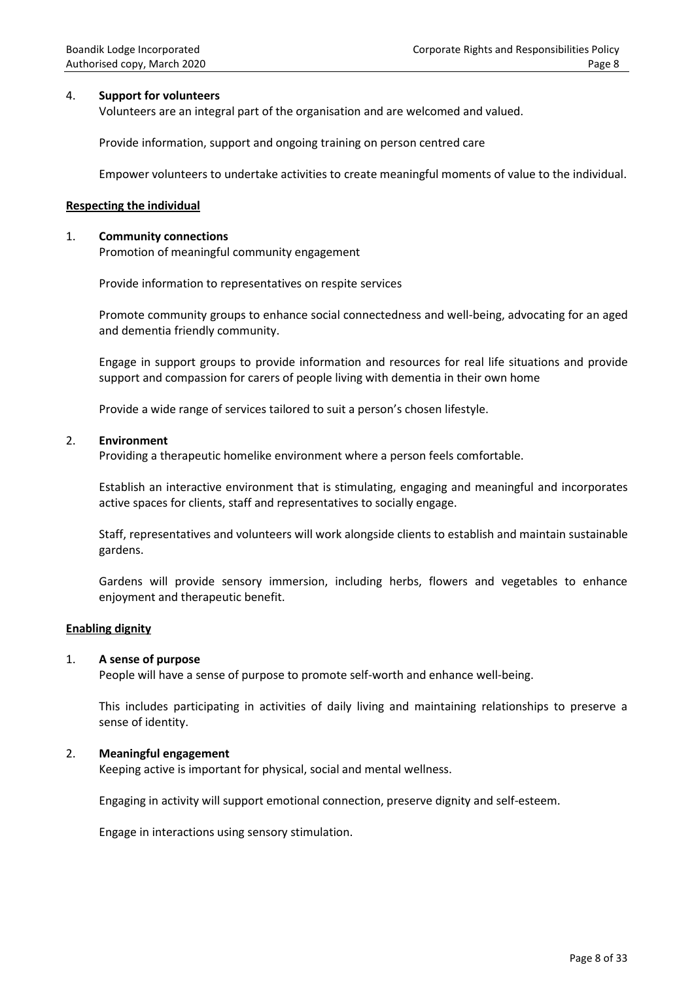#### 4. **Support for volunteers**

Volunteers are an integral part of the organisation and are welcomed and valued.

Provide information, support and ongoing training on person centred care

Empower volunteers to undertake activities to create meaningful moments of value to the individual.

#### **Respecting the individual**

#### 1. **Community connections**

Promotion of meaningful community engagement

Provide information to representatives on respite services

Promote community groups to enhance social connectedness and well-being, advocating for an aged and dementia friendly community.

Engage in support groups to provide information and resources for real life situations and provide support and compassion for carers of people living with dementia in their own home

Provide a wide range of services tailored to suit a person's chosen lifestyle.

#### 2. **Environment**

Providing a therapeutic homelike environment where a person feels comfortable.

Establish an interactive environment that is stimulating, engaging and meaningful and incorporates active spaces for clients, staff and representatives to socially engage.

Staff, representatives and volunteers will work alongside clients to establish and maintain sustainable gardens.

Gardens will provide sensory immersion, including herbs, flowers and vegetables to enhance enjoyment and therapeutic benefit.

#### **Enabling dignity**

#### 1. **A sense of purpose**

People will have a sense of purpose to promote self-worth and enhance well-being.

This includes participating in activities of daily living and maintaining relationships to preserve a sense of identity.

#### 2. **Meaningful engagement**

Keeping active is important for physical, social and mental wellness.

Engaging in activity will support emotional connection, preserve dignity and self-esteem.

Engage in interactions using sensory stimulation.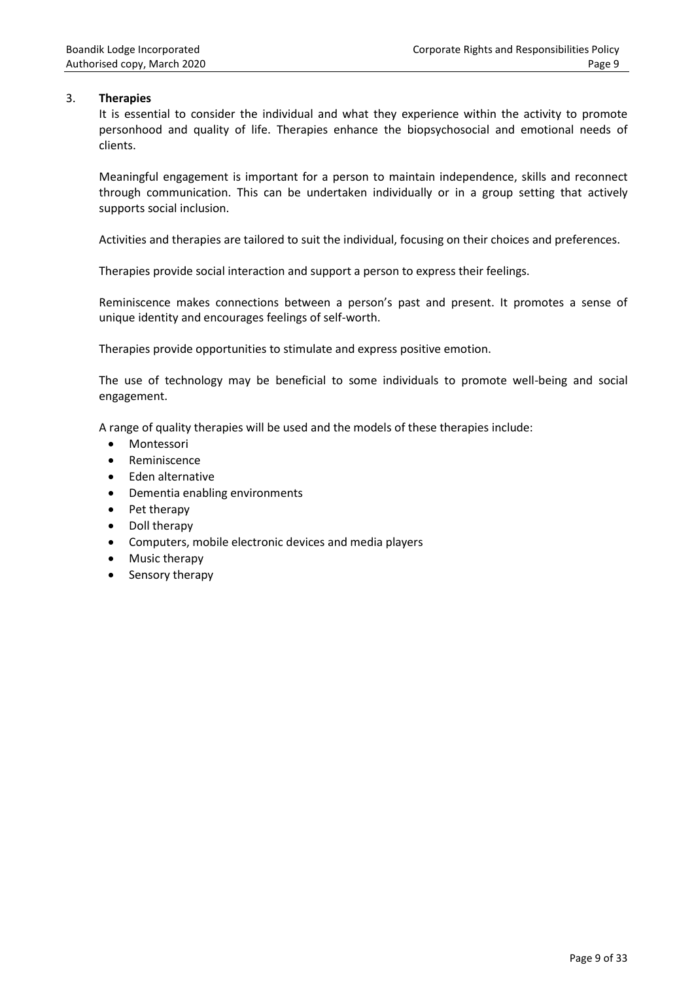## 3. **Therapies**

It is essential to consider the individual and what they experience within the activity to promote personhood and quality of life. Therapies enhance the biopsychosocial and emotional needs of clients.

Meaningful engagement is important for a person to maintain independence, skills and reconnect through communication. This can be undertaken individually or in a group setting that actively supports social inclusion.

Activities and therapies are tailored to suit the individual, focusing on their choices and preferences.

Therapies provide social interaction and support a person to express their feelings.

Reminiscence makes connections between a person's past and present. It promotes a sense of unique identity and encourages feelings of self-worth.

Therapies provide opportunities to stimulate and express positive emotion.

The use of technology may be beneficial to some individuals to promote well-being and social engagement.

A range of quality therapies will be used and the models of these therapies include:

- **•** Montessori
- Reminiscence
- Eden alternative
- Dementia enabling environments
- Pet therapy
- Doll therapy
- Computers, mobile electronic devices and media players
- Music therapy
- Sensory therapy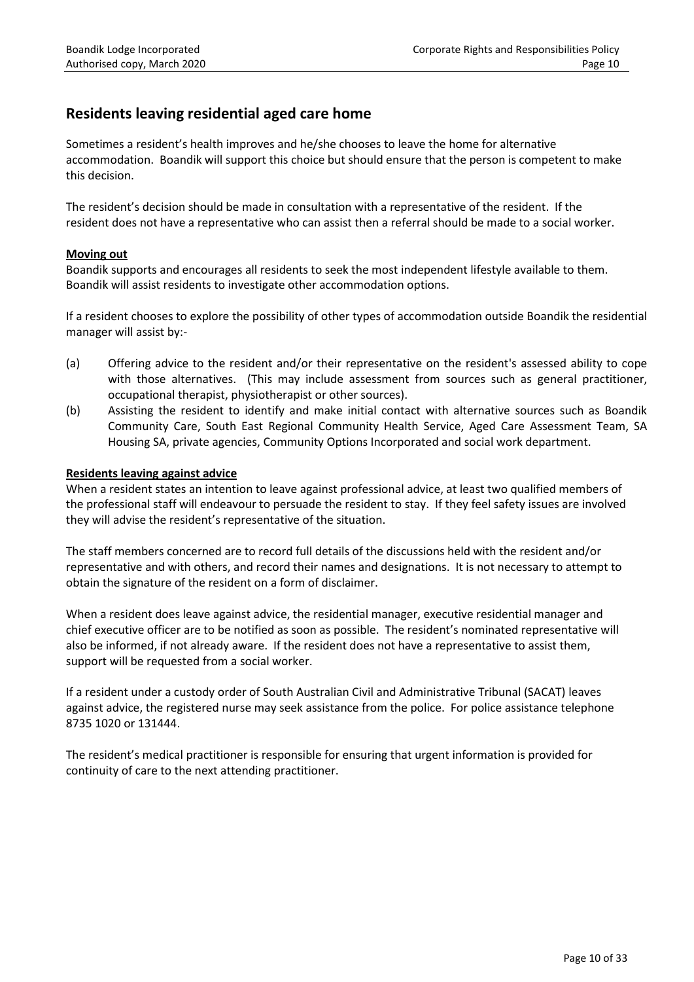# **Residents leaving residential aged care home**

Sometimes a resident's health improves and he/she chooses to leave the home for alternative accommodation. Boandik will support this choice but should ensure that the person is competent to make this decision.

The resident's decision should be made in consultation with a representative of the resident. If the resident does not have a representative who can assist then a referral should be made to a social worker.

## **Moving out**

Boandik supports and encourages all residents to seek the most independent lifestyle available to them. Boandik will assist residents to investigate other accommodation options.

If a resident chooses to explore the possibility of other types of accommodation outside Boandik the residential manager will assist by:-

- (a) Offering advice to the resident and/or their representative on the resident's assessed ability to cope with those alternatives. (This may include assessment from sources such as general practitioner, occupational therapist, physiotherapist or other sources).
- (b) Assisting the resident to identify and make initial contact with alternative sources such as Boandik Community Care, South East Regional Community Health Service, Aged Care Assessment Team, SA Housing SA, private agencies, Community Options Incorporated and social work department.

## **Residents leaving against advice**

When a resident states an intention to leave against professional advice, at least two qualified members of the professional staff will endeavour to persuade the resident to stay. If they feel safety issues are involved they will advise the resident's representative of the situation.

The staff members concerned are to record full details of the discussions held with the resident and/or representative and with others, and record their names and designations. It is not necessary to attempt to obtain the signature of the resident on a form of disclaimer.

When a resident does leave against advice, the residential manager, executive residential manager and chief executive officer are to be notified as soon as possible. The resident's nominated representative will also be informed, if not already aware. If the resident does not have a representative to assist them, support will be requested from a social worker.

If a resident under a custody order of South Australian Civil and Administrative Tribunal (SACAT) leaves against advice, the registered nurse may seek assistance from the police. For police assistance telephone 8735 1020 or 131444.

The resident's medical practitioner is responsible for ensuring that urgent information is provided for continuity of care to the next attending practitioner.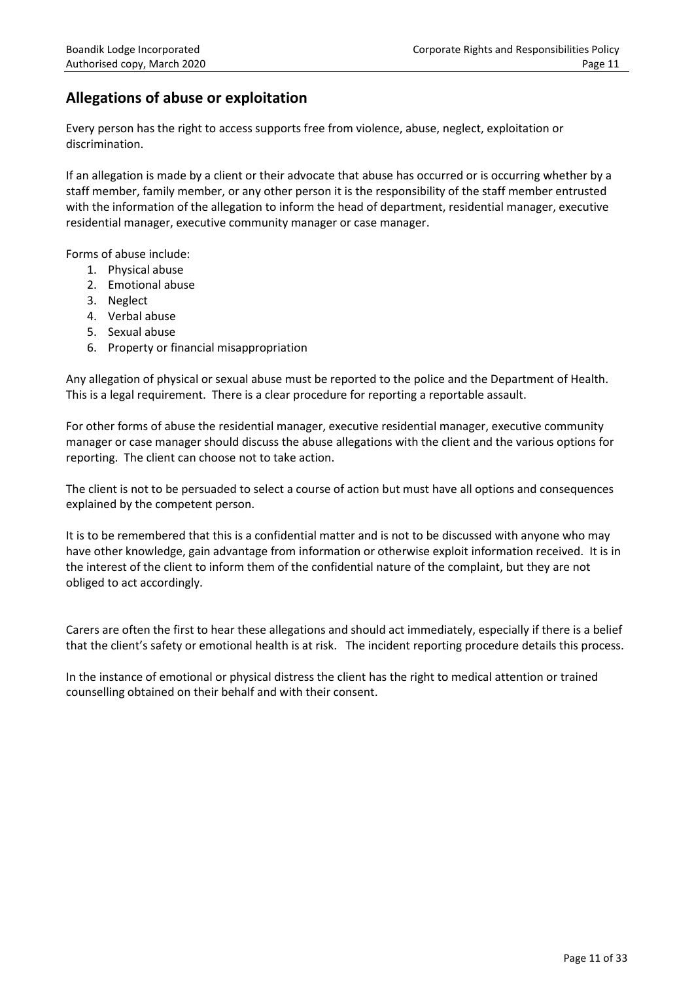# **Allegations of abuse or exploitation**

Every person has the right to access supports free from violence, abuse, neglect, exploitation or discrimination.

If an allegation is made by a client or their advocate that abuse has occurred or is occurring whether by a staff member, family member, or any other person it is the responsibility of the staff member entrusted with the information of the allegation to inform the head of department, residential manager, executive residential manager, executive community manager or case manager.

Forms of abuse include:

- 1. Physical abuse
- 2. Emotional abuse
- 3. Neglect
- 4. Verbal abuse
- 5. Sexual abuse
- 6. Property or financial misappropriation

Any allegation of physical or sexual abuse must be reported to the police and the Department of Health. This is a legal requirement. There is a clear procedure for reporting a reportable assault.

For other forms of abuse the residential manager, executive residential manager, executive community manager or case manager should discuss the abuse allegations with the client and the various options for reporting. The client can choose not to take action.

The client is not to be persuaded to select a course of action but must have all options and consequences explained by the competent person.

It is to be remembered that this is a confidential matter and is not to be discussed with anyone who may have other knowledge, gain advantage from information or otherwise exploit information received. It is in the interest of the client to inform them of the confidential nature of the complaint, but they are not obliged to act accordingly.

Carers are often the first to hear these allegations and should act immediately, especially if there is a belief that the client's safety or emotional health is at risk. The incident reporting procedure details this process.

In the instance of emotional or physical distress the client has the right to medical attention or trained counselling obtained on their behalf and with their consent.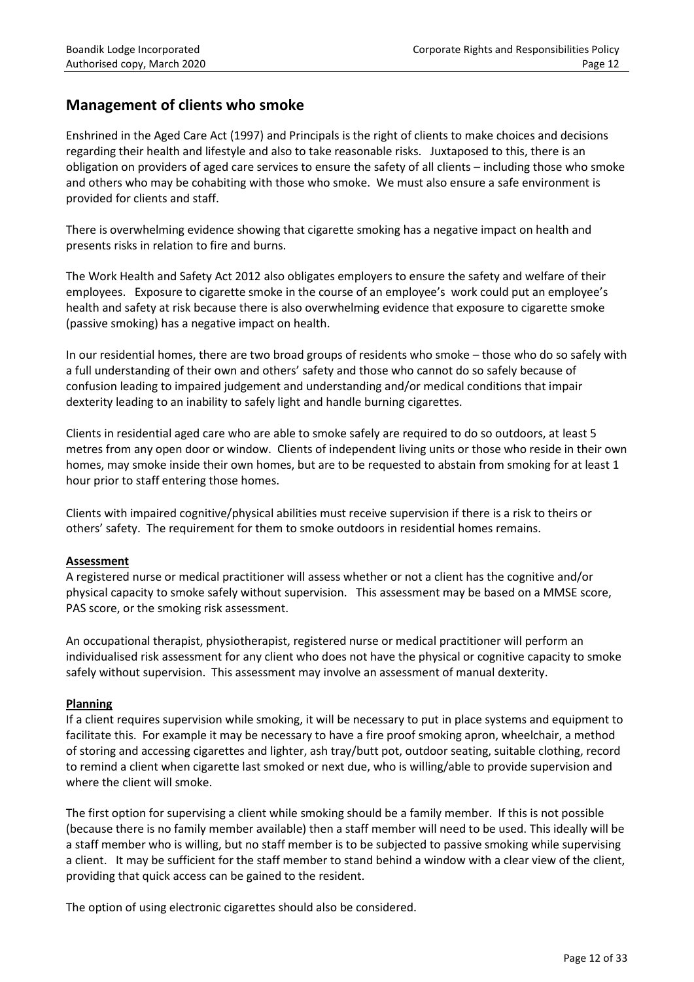# **Management of clients who smoke**

Enshrined in the Aged Care Act (1997) and Principals is the right of clients to make choices and decisions regarding their health and lifestyle and also to take reasonable risks. Juxtaposed to this, there is an obligation on providers of aged care services to ensure the safety of all clients – including those who smoke and others who may be cohabiting with those who smoke. We must also ensure a safe environment is provided for clients and staff.

There is overwhelming evidence showing that cigarette smoking has a negative impact on health and presents risks in relation to fire and burns.

The Work Health and Safety Act 2012 also obligates employers to ensure the safety and welfare of their employees. Exposure to cigarette smoke in the course of an employee's work could put an employee's health and safety at risk because there is also overwhelming evidence that exposure to cigarette smoke (passive smoking) has a negative impact on health.

In our residential homes, there are two broad groups of residents who smoke – those who do so safely with a full understanding of their own and others' safety and those who cannot do so safely because of confusion leading to impaired judgement and understanding and/or medical conditions that impair dexterity leading to an inability to safely light and handle burning cigarettes.

Clients in residential aged care who are able to smoke safely are required to do so outdoors, at least 5 metres from any open door or window. Clients of independent living units or those who reside in their own homes, may smoke inside their own homes, but are to be requested to abstain from smoking for at least 1 hour prior to staff entering those homes.

Clients with impaired cognitive/physical abilities must receive supervision if there is a risk to theirs or others' safety. The requirement for them to smoke outdoors in residential homes remains.

## **Assessment**

A registered nurse or medical practitioner will assess whether or not a client has the cognitive and/or physical capacity to smoke safely without supervision. This assessment may be based on a MMSE score, PAS score, or the smoking risk assessment.

An occupational therapist, physiotherapist, registered nurse or medical practitioner will perform an individualised risk assessment for any client who does not have the physical or cognitive capacity to smoke safely without supervision. This assessment may involve an assessment of manual dexterity.

## **Planning**

If a client requires supervision while smoking, it will be necessary to put in place systems and equipment to facilitate this. For example it may be necessary to have a fire proof smoking apron, wheelchair, a method of storing and accessing cigarettes and lighter, ash tray/butt pot, outdoor seating, suitable clothing, record to remind a client when cigarette last smoked or next due, who is willing/able to provide supervision and where the client will smoke.

The first option for supervising a client while smoking should be a family member. If this is not possible (because there is no family member available) then a staff member will need to be used. This ideally will be a staff member who is willing, but no staff member is to be subjected to passive smoking while supervising a client. It may be sufficient for the staff member to stand behind a window with a clear view of the client, providing that quick access can be gained to the resident.

The option of using electronic cigarettes should also be considered.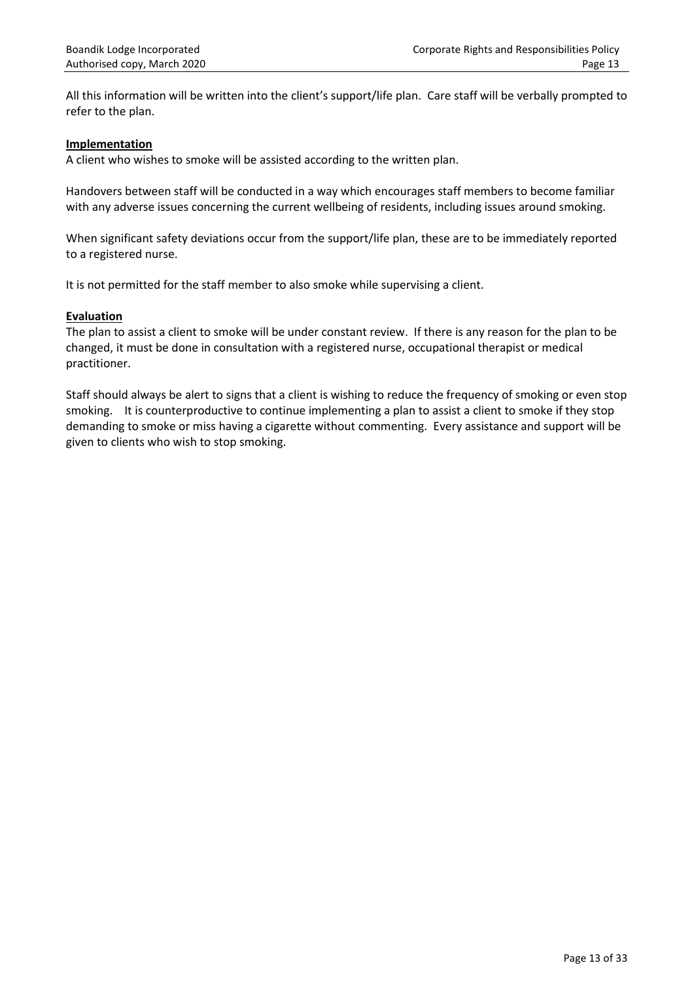All this information will be written into the client's support/life plan. Care staff will be verbally prompted to refer to the plan.

#### **Implementation**

A client who wishes to smoke will be assisted according to the written plan.

Handovers between staff will be conducted in a way which encourages staff members to become familiar with any adverse issues concerning the current wellbeing of residents, including issues around smoking.

When significant safety deviations occur from the support/life plan, these are to be immediately reported to a registered nurse.

It is not permitted for the staff member to also smoke while supervising a client.

#### **Evaluation**

The plan to assist a client to smoke will be under constant review. If there is any reason for the plan to be changed, it must be done in consultation with a registered nurse, occupational therapist or medical practitioner.

Staff should always be alert to signs that a client is wishing to reduce the frequency of smoking or even stop smoking. It is counterproductive to continue implementing a plan to assist a client to smoke if they stop demanding to smoke or miss having a cigarette without commenting. Every assistance and support will be given to clients who wish to stop smoking.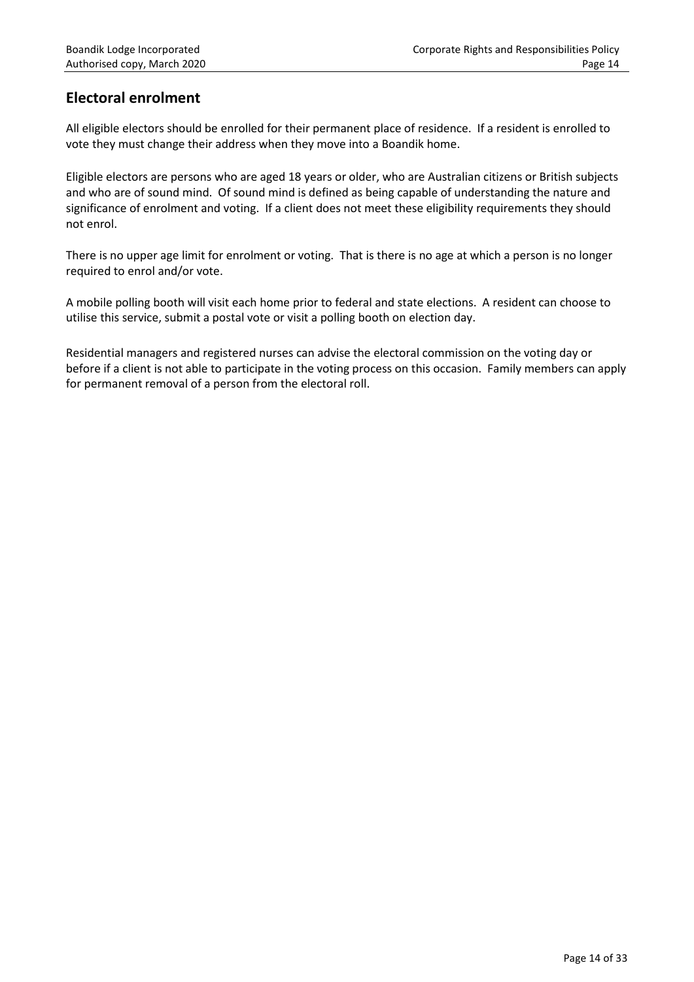# **Electoral enrolment**

All eligible electors should be enrolled for their permanent place of residence. If a resident is enrolled to vote they must change their address when they move into a Boandik home.

Eligible electors are persons who are aged 18 years or older, who are Australian citizens or British subjects and who are of sound mind. Of sound mind is defined as being capable of understanding the nature and significance of enrolment and voting. If a client does not meet these eligibility requirements they should not enrol.

There is no upper age limit for enrolment or voting. That is there is no age at which a person is no longer required to enrol and/or vote.

A mobile polling booth will visit each home prior to federal and state elections. A resident can choose to utilise this service, submit a postal vote or visit a polling booth on election day.

Residential managers and registered nurses can advise the electoral commission on the voting day or before if a client is not able to participate in the voting process on this occasion. Family members can apply for permanent removal of a person from the electoral roll.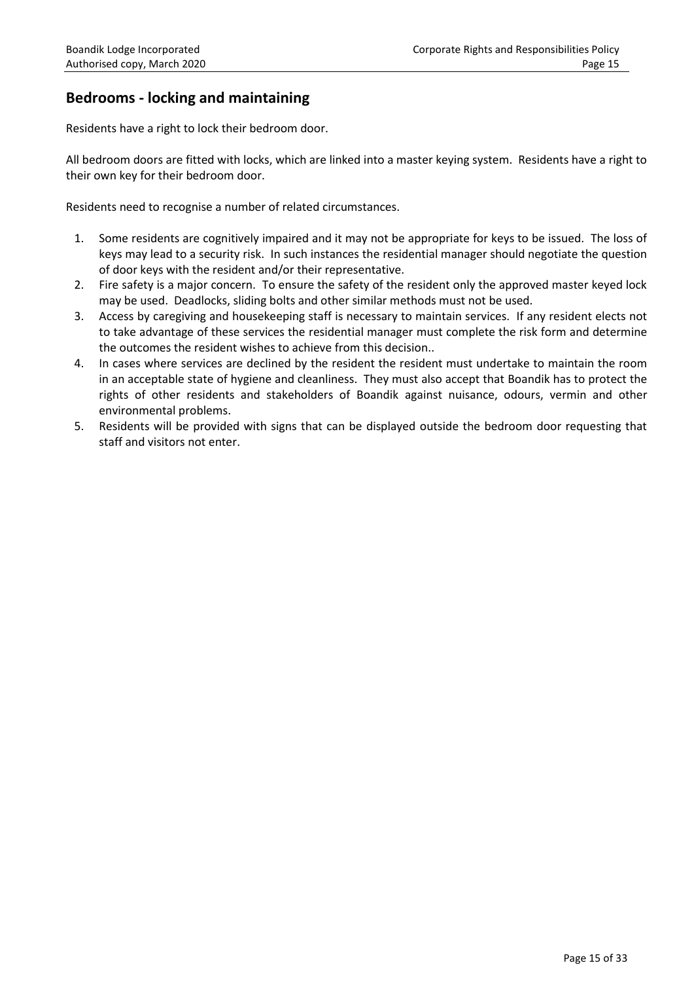# **Bedrooms - locking and maintaining**

Residents have a right to lock their bedroom door.

All bedroom doors are fitted with locks, which are linked into a master keying system. Residents have a right to their own key for their bedroom door.

Residents need to recognise a number of related circumstances.

- 1. Some residents are cognitively impaired and it may not be appropriate for keys to be issued. The loss of keys may lead to a security risk. In such instances the residential manager should negotiate the question of door keys with the resident and/or their representative.
- 2. Fire safety is a major concern. To ensure the safety of the resident only the approved master keyed lock may be used. Deadlocks, sliding bolts and other similar methods must not be used.
- 3. Access by caregiving and housekeeping staff is necessary to maintain services. If any resident elects not to take advantage of these services the residential manager must complete the risk form and determine the outcomes the resident wishes to achieve from this decision..
- 4. In cases where services are declined by the resident the resident must undertake to maintain the room in an acceptable state of hygiene and cleanliness. They must also accept that Boandik has to protect the rights of other residents and stakeholders of Boandik against nuisance, odours, vermin and other environmental problems.
- 5. Residents will be provided with signs that can be displayed outside the bedroom door requesting that staff and visitors not enter.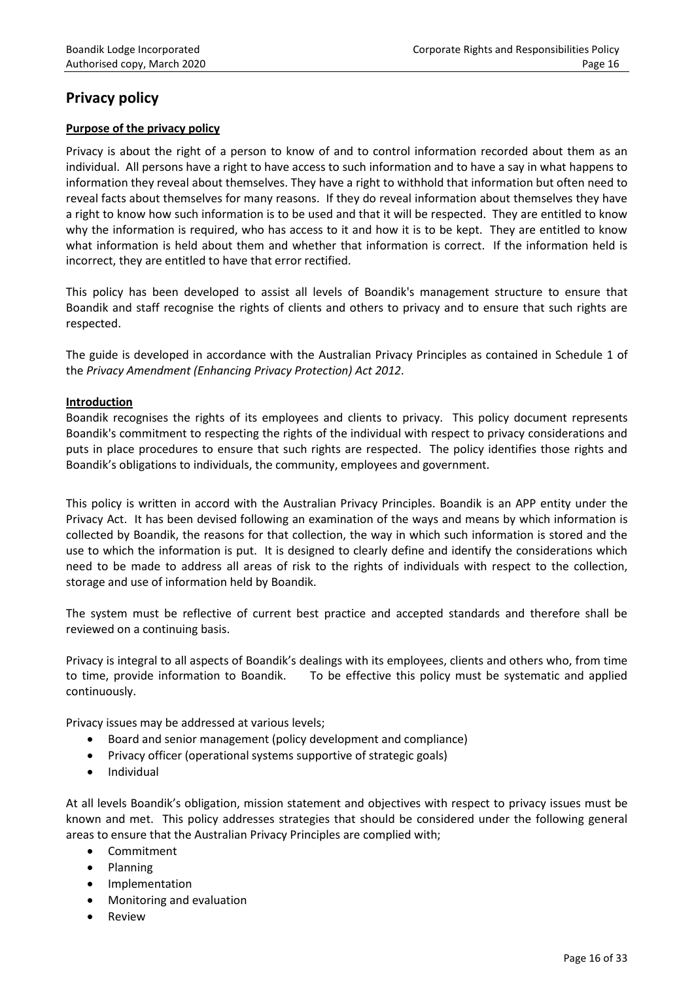# **Privacy policy**

# **Purpose of the privacy policy**

Privacy is about the right of a person to know of and to control information recorded about them as an individual. All persons have a right to have access to such information and to have a say in what happens to information they reveal about themselves. They have a right to withhold that information but often need to reveal facts about themselves for many reasons. If they do reveal information about themselves they have a right to know how such information is to be used and that it will be respected. They are entitled to know why the information is required, who has access to it and how it is to be kept. They are entitled to know what information is held about them and whether that information is correct. If the information held is incorrect, they are entitled to have that error rectified.

This policy has been developed to assist all levels of Boandik's management structure to ensure that Boandik and staff recognise the rights of clients and others to privacy and to ensure that such rights are respected.

The guide is developed in accordance with the Australian Privacy Principles as contained in Schedule 1 of the *Privacy Amendment (Enhancing Privacy Protection) Act 2012.*

## **Introduction**

Boandik recognises the rights of its employees and clients to privacy. This policy document represents Boandik's commitment to respecting the rights of the individual with respect to privacy considerations and puts in place procedures to ensure that such rights are respected. The policy identifies those rights and Boandik's obligations to individuals, the community, employees and government.

This policy is written in accord with the Australian Privacy Principles. Boandik is an APP entity under the Privacy Act. It has been devised following an examination of the ways and means by which information is collected by Boandik, the reasons for that collection, the way in which such information is stored and the use to which the information is put. It is designed to clearly define and identify the considerations which need to be made to address all areas of risk to the rights of individuals with respect to the collection, storage and use of information held by Boandik.

The system must be reflective of current best practice and accepted standards and therefore shall be reviewed on a continuing basis.

Privacy is integral to all aspects of Boandik's dealings with its employees, clients and others who, from time to time, provide information to Boandik. To be effective this policy must be systematic and applied continuously.

Privacy issues may be addressed at various levels;

- Board and senior management (policy development and compliance)
- Privacy officer (operational systems supportive of strategic goals)
- Individual

At all levels Boandik's obligation, mission statement and objectives with respect to privacy issues must be known and met. This policy addresses strategies that should be considered under the following general areas to ensure that the Australian Privacy Principles are complied with;

- Commitment
- Planning
- Implementation
- Monitoring and evaluation
- Review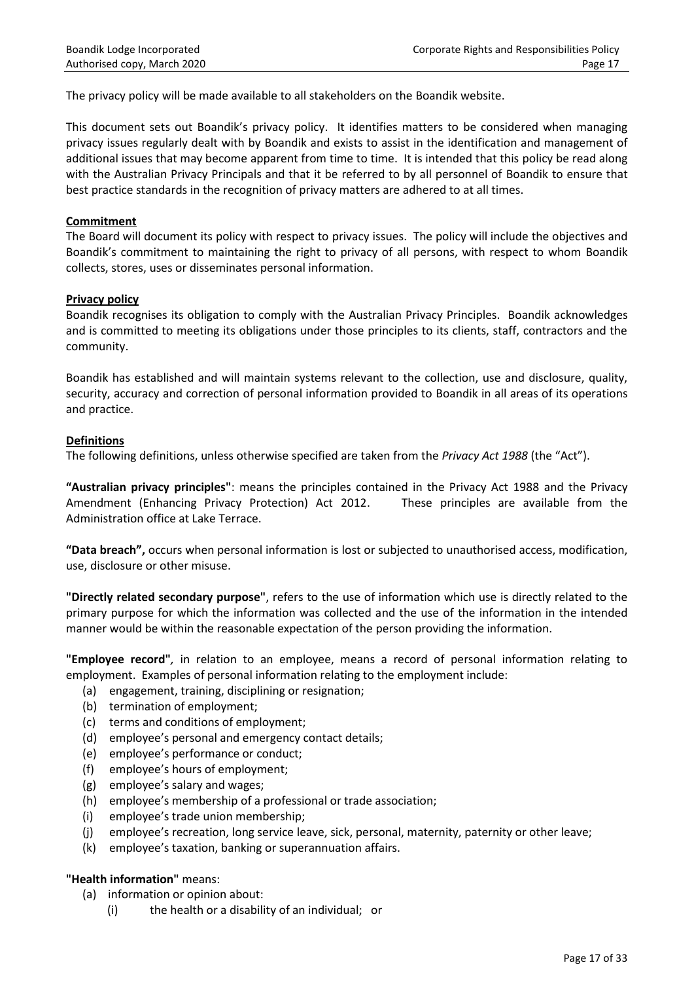The privacy policy will be made available to all stakeholders on the Boandik website.

This document sets out Boandik's privacy policy. It identifies matters to be considered when managing privacy issues regularly dealt with by Boandik and exists to assist in the identification and management of additional issues that may become apparent from time to time. It is intended that this policy be read along with the Australian Privacy Principals and that it be referred to by all personnel of Boandik to ensure that best practice standards in the recognition of privacy matters are adhered to at all times.

## **Commitment**

The Board will document its policy with respect to privacy issues. The policy will include the objectives and Boandik's commitment to maintaining the right to privacy of all persons, with respect to whom Boandik collects, stores, uses or disseminates personal information.

## **Privacy policy**

Boandik recognises its obligation to comply with the Australian Privacy Principles. Boandik acknowledges and is committed to meeting its obligations under those principles to its clients, staff, contractors and the community.

Boandik has established and will maintain systems relevant to the collection, use and disclosure, quality, security, accuracy and correction of personal information provided to Boandik in all areas of its operations and practice.

## **Definitions**

The following definitions, unless otherwise specified are taken from the *Privacy Act 1988* (the "Act").

**"Australian privacy principles"**: means the principles contained in the Privacy Act 1988 and the Privacy Amendment (Enhancing Privacy Protection) Act 2012. These principles are available from the Administration office at Lake Terrace.

**"Data breach",** occurs when personal information is lost or subjected to unauthorised access, modification, use, disclosure or other misuse.

**"Directly related secondary purpose"**, refers to the use of information which use is directly related to the primary purpose for which the information was collected and the use of the information in the intended manner would be within the reasonable expectation of the person providing the information.

**"Employee record"***,* in relation to an employee, means a record of personal information relating to employment. Examples of personal information relating to the employment include:

- (a) engagement, training, disciplining or resignation;
- (b) termination of employment;
- (c) terms and conditions of employment;
- (d) employee's personal and emergency contact details;
- (e) employee's performance or conduct;
- (f) employee's hours of employment;
- (g) employee's salary and wages;
- (h) employee's membership of a professional or trade association;
- (i) employee's trade union membership;
- (j) employee's recreation, long service leave, sick, personal, maternity, paternity or other leave;
- (k) employee's taxation, banking or superannuation affairs.

## **"Health information"** means:

- (a) information or opinion about:
	- (i) the health or a disability of an individual; or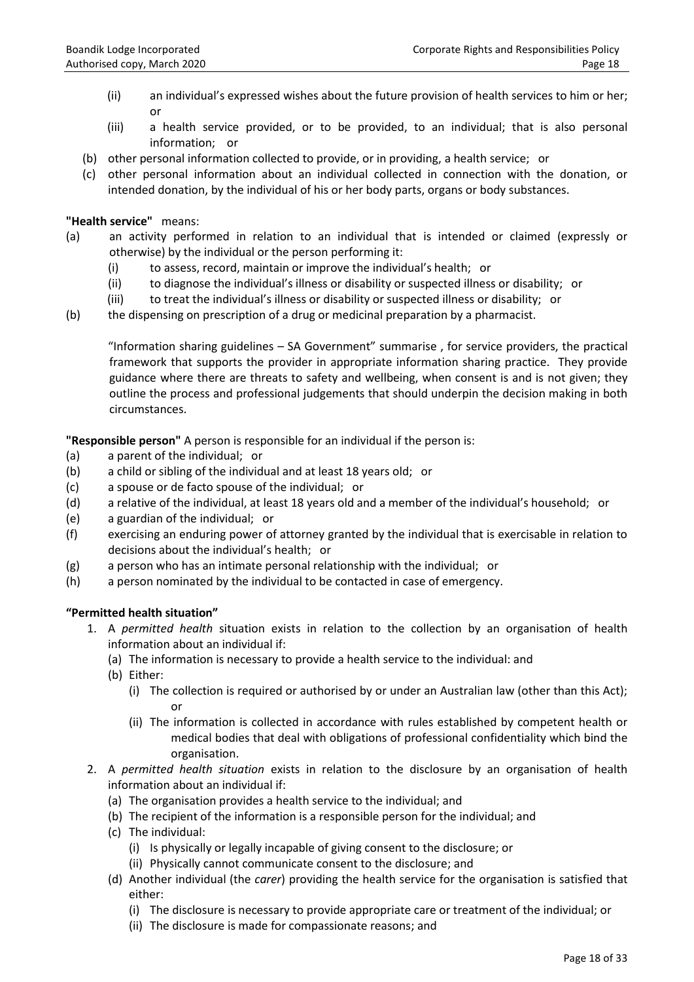- (ii) an individual's expressed wishes about the future provision of health services to him or her; or
- (iii) a health service provided, or to be provided, to an individual; that is also personal information; or
- (b) other personal information collected to provide, or in providing, a health service; or
- (c) other personal information about an individual collected in connection with the donation, or intended donation, by the individual of his or her body parts, organs or body substances.

**"Health service"** means:

- (a) an activity performed in relation to an individual that is intended or claimed (expressly or otherwise) by the individual or the person performing it:
	- (i) to assess, record, maintain or improve the individual's health; or
	- (ii) to diagnose the individual's illness or disability or suspected illness or disability; or
	- (iii) to treat the individual's illness or disability or suspected illness or disability; or
- (b) the dispensing on prescription of a drug or medicinal preparation by a pharmacist.

"Information sharing guidelines – SA Government" summarise , for service providers, the practical framework that supports the provider in appropriate information sharing practice. They provide guidance where there are threats to safety and wellbeing, when consent is and is not given; they outline the process and professional judgements that should underpin the decision making in both circumstances.

**"Responsible person"** A person is responsible for an individual if the person is:

- (a) a parent of the individual; or
- (b) a child or sibling of the individual and at least 18 years old; or
- (c) a spouse or de facto spouse of the individual; or
- (d) a relative of the individual, at least 18 years old and a member of the individual's household; or
- (e) a guardian of the individual; or
- (f) exercising an enduring power of attorney granted by the individual that is exercisable in relation to decisions about the individual's health; or
- (g) a person who has an intimate personal relationship with the individual; or
- (h) a person nominated by the individual to be contacted in case of emergency.

## **"Permitted health situation"**

- 1. A *permitted health* situation exists in relation to the collection by an organisation of health information about an individual if:
	- (a) The information is necessary to provide a health service to the individual: and
	- (b) Either:
		- (i) The collection is required or authorised by or under an Australian law (other than this Act); or
		- (ii) The information is collected in accordance with rules established by competent health or medical bodies that deal with obligations of professional confidentiality which bind the organisation.
- 2. A *permitted health situation* exists in relation to the disclosure by an organisation of health information about an individual if:
	- (a) The organisation provides a health service to the individual; and
	- (b) The recipient of the information is a responsible person for the individual; and
	- (c) The individual:
		- (i) Is physically or legally incapable of giving consent to the disclosure; or
		- (ii) Physically cannot communicate consent to the disclosure; and
	- (d) Another individual (the *carer*) providing the health service for the organisation is satisfied that either:
		- (i) The disclosure is necessary to provide appropriate care or treatment of the individual; or
		- (ii) The disclosure is made for compassionate reasons; and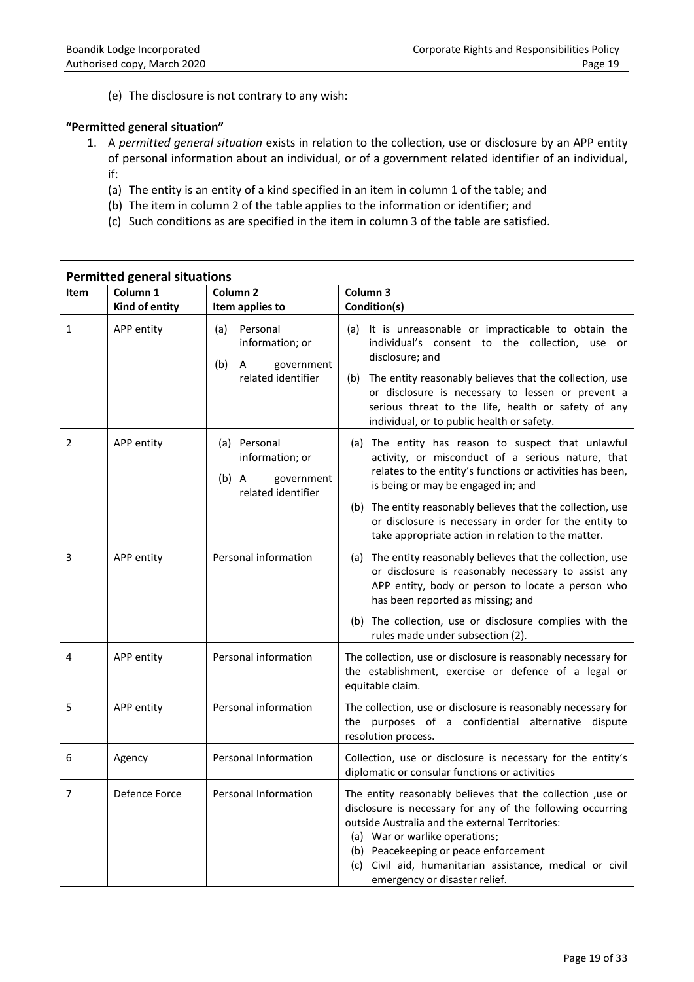(e) The disclosure is not contrary to any wish:

## **"Permitted general situation"**

- 1. A *permitted general situation* exists in relation to the collection, use or disclosure by an APP entity of personal information about an individual, or of a government related identifier of an individual, if:
	- (a) The entity is an entity of a kind specified in an item in column 1 of the table; and
	- (b) The item in column 2 of the table applies to the information or identifier; and
	- (c) Such conditions as are specified in the item in column 3 of the table are satisfied.

| <b>Permitted general situations</b> |                                       |                                                                                    |                                                                                                                                                                                                                                                                                                                                                      |  |  |
|-------------------------------------|---------------------------------------|------------------------------------------------------------------------------------|------------------------------------------------------------------------------------------------------------------------------------------------------------------------------------------------------------------------------------------------------------------------------------------------------------------------------------------------------|--|--|
| <b>Item</b>                         | Column <sub>1</sub><br>Kind of entity | Column <sub>2</sub><br>Item applies to                                             | Column 3<br>Condition(s)                                                                                                                                                                                                                                                                                                                             |  |  |
| 1                                   | APP entity                            | Personal<br>(a)<br>information; or<br>(b)<br>government<br>A<br>related identifier | (a) It is unreasonable or impracticable to obtain the<br>individual's consent to the collection, use or<br>disclosure; and<br>(b) The entity reasonably believes that the collection, use<br>or disclosure is necessary to lessen or prevent a<br>serious threat to the life, health or safety of any<br>individual, or to public health or safety.  |  |  |
| 2                                   | APP entity                            | (a) Personal<br>information; or<br>$(b)$ A<br>government<br>related identifier     | (a) The entity has reason to suspect that unlawful<br>activity, or misconduct of a serious nature, that<br>relates to the entity's functions or activities has been,<br>is being or may be engaged in; and                                                                                                                                           |  |  |
|                                     |                                       |                                                                                    | (b) The entity reasonably believes that the collection, use<br>or disclosure is necessary in order for the entity to<br>take appropriate action in relation to the matter.                                                                                                                                                                           |  |  |
| 3                                   | APP entity                            | Personal information                                                               | (a) The entity reasonably believes that the collection, use<br>or disclosure is reasonably necessary to assist any<br>APP entity, body or person to locate a person who<br>has been reported as missing; and                                                                                                                                         |  |  |
|                                     |                                       |                                                                                    | (b) The collection, use or disclosure complies with the<br>rules made under subsection (2).                                                                                                                                                                                                                                                          |  |  |
| 4                                   | APP entity                            | Personal information                                                               | The collection, use or disclosure is reasonably necessary for<br>the establishment, exercise or defence of a legal or<br>equitable claim.                                                                                                                                                                                                            |  |  |
| 5                                   | APP entity                            | Personal information                                                               | The collection, use or disclosure is reasonably necessary for<br>the purposes of a confidential alternative dispute<br>resolution process.                                                                                                                                                                                                           |  |  |
| 6                                   | Agency                                | <b>Personal Information</b>                                                        | Collection, use or disclosure is necessary for the entity's<br>diplomatic or consular functions or activities                                                                                                                                                                                                                                        |  |  |
| 7                                   | Defence Force                         | Personal Information                                                               | The entity reasonably believes that the collection , use or<br>disclosure is necessary for any of the following occurring<br>outside Australia and the external Territories:<br>(a) War or warlike operations;<br>(b) Peacekeeping or peace enforcement<br>(c) Civil aid, humanitarian assistance, medical or civil<br>emergency or disaster relief. |  |  |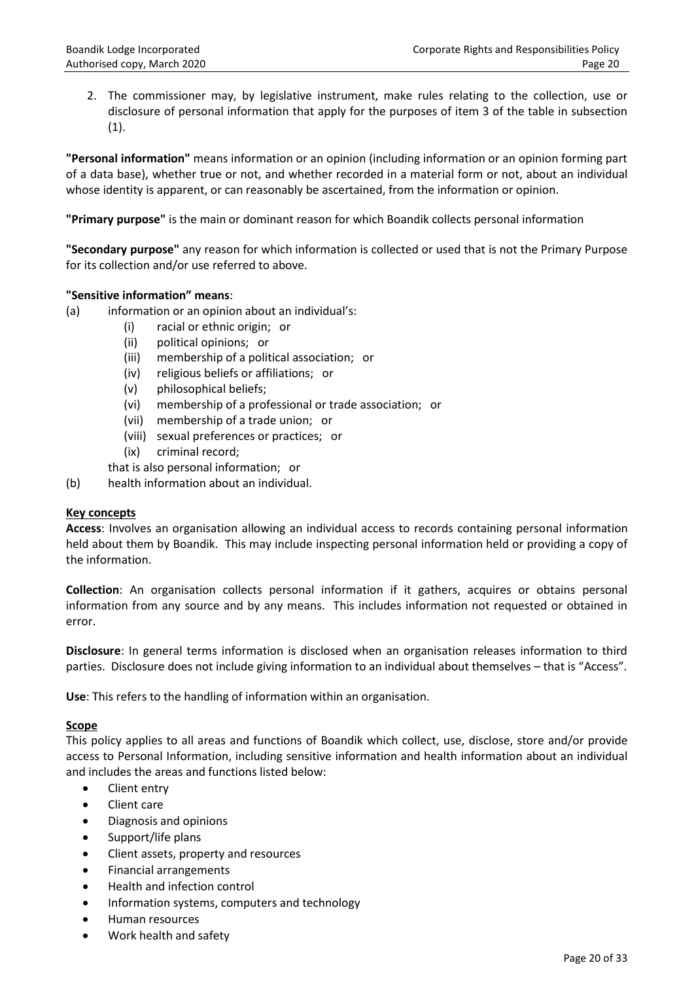2. The commissioner may, by legislative instrument, make rules relating to the collection, use or disclosure of personal information that apply for the purposes of item 3 of the table in subsection (1).

**"Personal information"** means information or an opinion (including information or an opinion forming part of a data base), whether true or not, and whether recorded in a material form or not, about an individual whose identity is apparent, or can reasonably be ascertained, from the information or opinion.

**"Primary purpose"** is the main or dominant reason for which Boandik collects personal information

**"Secondary purpose"** any reason for which information is collected or used that is not the Primary Purpose for its collection and/or use referred to above.

## **"Sensitive information" means**:

- (a) information or an opinion about an individual's:
	- (i) racial or ethnic origin; or
	- (ii) political opinions; or
	- (iii) membership of a political association; or
	- (iv) religious beliefs or affiliations; or
	- (v) philosophical beliefs;
	- (vi) membership of a professional or trade association; or
	- (vii) membership of a trade union; or
	- (viii) sexual preferences or practices; or
	- (ix) criminal record;
	- that is also personal information; or
- (b) health information about an individual.

## **Key concepts**

**Access**: Involves an organisation allowing an individual access to records containing personal information held about them by Boandik. This may include inspecting personal information held or providing a copy of the information.

**Collection**: An organisation collects personal information if it gathers, acquires or obtains personal information from any source and by any means. This includes information not requested or obtained in error.

**Disclosure**: In general terms information is disclosed when an organisation releases information to third parties. Disclosure does not include giving information to an individual about themselves – that is "Access".

**Use**: This refers to the handling of information within an organisation.

## **Scope**

This policy applies to all areas and functions of Boandik which collect, use, disclose, store and/or provide access to Personal Information, including sensitive information and health information about an individual and includes the areas and functions listed below:

- Client entry
- Client care
- Diagnosis and opinions
- Support/life plans
- Client assets, property and resources
- Financial arrangements
- Health and infection control
- Information systems, computers and technology
- Human resources
- Work health and safety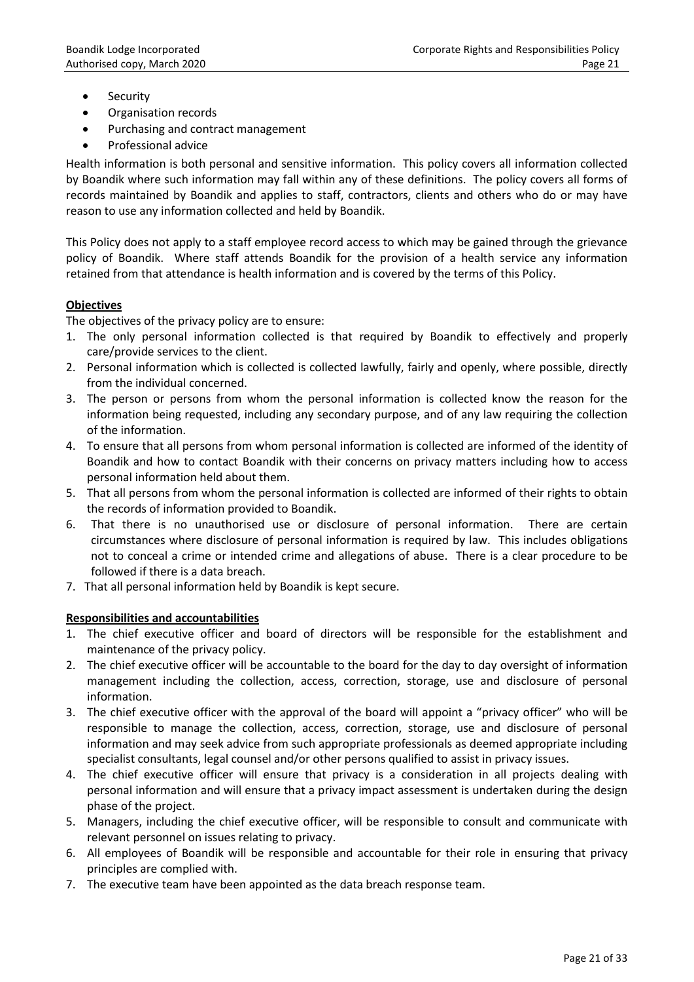- Security
- Organisation records
- Purchasing and contract management
- **•** Professional advice

Health information is both personal and sensitive information. This policy covers all information collected by Boandik where such information may fall within any of these definitions. The policy covers all forms of records maintained by Boandik and applies to staff, contractors, clients and others who do or may have reason to use any information collected and held by Boandik.

This Policy does not apply to a staff employee record access to which may be gained through the grievance policy of Boandik. Where staff attends Boandik for the provision of a health service any information retained from that attendance is health information and is covered by the terms of this Policy.

# **Objectives**

The objectives of the privacy policy are to ensure:

- 1. The only personal information collected is that required by Boandik to effectively and properly care/provide services to the client.
- 2. Personal information which is collected is collected lawfully, fairly and openly, where possible, directly from the individual concerned.
- 3. The person or persons from whom the personal information is collected know the reason for the information being requested, including any secondary purpose, and of any law requiring the collection of the information.
- 4. To ensure that all persons from whom personal information is collected are informed of the identity of Boandik and how to contact Boandik with their concerns on privacy matters including how to access personal information held about them.
- 5. That all persons from whom the personal information is collected are informed of their rights to obtain the records of information provided to Boandik.
- 6. That there is no unauthorised use or disclosure of personal information. There are certain circumstances where disclosure of personal information is required by law. This includes obligations not to conceal a crime or intended crime and allegations of abuse. There is a clear procedure to be followed if there is a data breach.
- 7. That all personal information held by Boandik is kept secure.

# **Responsibilities and accountabilities**

- 1. The chief executive officer and board of directors will be responsible for the establishment and maintenance of the privacy policy.
- 2. The chief executive officer will be accountable to the board for the day to day oversight of information management including the collection, access, correction, storage, use and disclosure of personal information.
- 3. The chief executive officer with the approval of the board will appoint a "privacy officer" who will be responsible to manage the collection, access, correction, storage, use and disclosure of personal information and may seek advice from such appropriate professionals as deemed appropriate including specialist consultants, legal counsel and/or other persons qualified to assist in privacy issues.
- 4. The chief executive officer will ensure that privacy is a consideration in all projects dealing with personal information and will ensure that a privacy impact assessment is undertaken during the design phase of the project.
- 5. Managers, including the chief executive officer, will be responsible to consult and communicate with relevant personnel on issues relating to privacy.
- 6. All employees of Boandik will be responsible and accountable for their role in ensuring that privacy principles are complied with.
- 7. The executive team have been appointed as the data breach response team.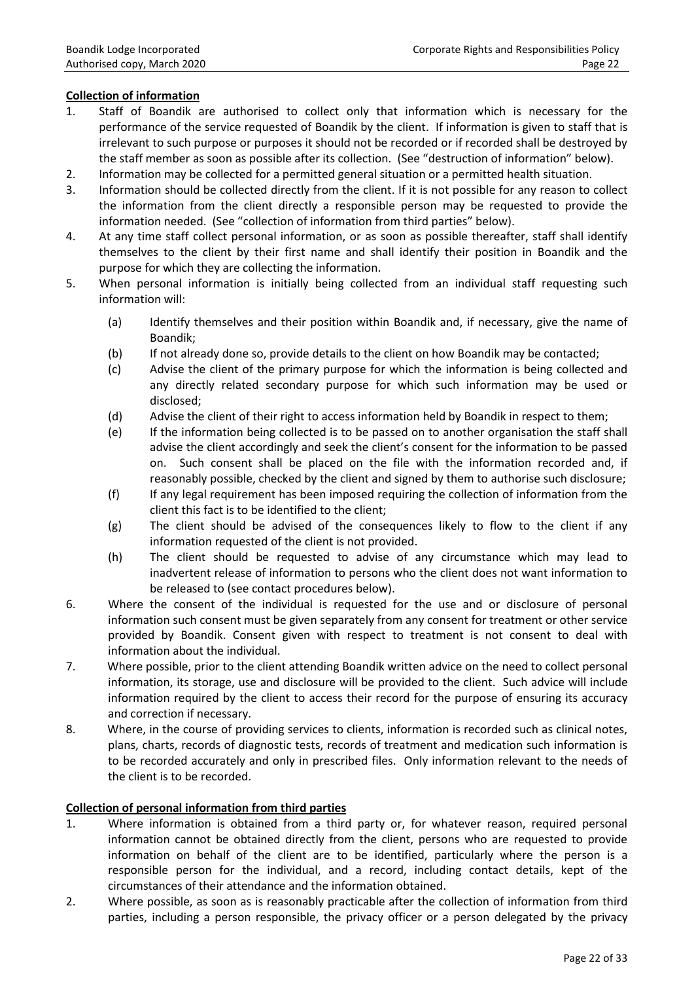## **Collection of information**

- 1. Staff of Boandik are authorised to collect only that information which is necessary for the performance of the service requested of Boandik by the client. If information is given to staff that is irrelevant to such purpose or purposes it should not be recorded or if recorded shall be destroyed by the staff member as soon as possible after its collection. (See "destruction of information" below).
- 2. Information may be collected for a permitted general situation or a permitted health situation.
- 3. Information should be collected directly from the client. If it is not possible for any reason to collect the information from the client directly a responsible person may be requested to provide the information needed. (See "collection of information from third parties" below).
- 4. At any time staff collect personal information, or as soon as possible thereafter, staff shall identify themselves to the client by their first name and shall identify their position in Boandik and the purpose for which they are collecting the information.
- 5. When personal information is initially being collected from an individual staff requesting such information will:
	- (a) Identify themselves and their position within Boandik and, if necessary, give the name of Boandik;
	- (b) If not already done so, provide details to the client on how Boandik may be contacted;
	- (c) Advise the client of the primary purpose for which the information is being collected and any directly related secondary purpose for which such information may be used or disclosed;
	- (d) Advise the client of their right to access information held by Boandik in respect to them;
	- (e) If the information being collected is to be passed on to another organisation the staff shall advise the client accordingly and seek the client's consent for the information to be passed on. Such consent shall be placed on the file with the information recorded and, if reasonably possible, checked by the client and signed by them to authorise such disclosure;
	- (f) If any legal requirement has been imposed requiring the collection of information from the client this fact is to be identified to the client;
	- (g) The client should be advised of the consequences likely to flow to the client if any information requested of the client is not provided.
	- (h) The client should be requested to advise of any circumstance which may lead to inadvertent release of information to persons who the client does not want information to be released to (see contact procedures below).
- 6. Where the consent of the individual is requested for the use and or disclosure of personal information such consent must be given separately from any consent for treatment or other service provided by Boandik. Consent given with respect to treatment is not consent to deal with information about the individual.
- 7. Where possible, prior to the client attending Boandik written advice on the need to collect personal information, its storage, use and disclosure will be provided to the client. Such advice will include information required by the client to access their record for the purpose of ensuring its accuracy and correction if necessary.
- 8. Where, in the course of providing services to clients, information is recorded such as clinical notes, plans, charts, records of diagnostic tests, records of treatment and medication such information is to be recorded accurately and only in prescribed files. Only information relevant to the needs of the client is to be recorded.

## **Collection of personal information from third parties**

- 1. Where information is obtained from a third party or, for whatever reason, required personal information cannot be obtained directly from the client, persons who are requested to provide information on behalf of the client are to be identified, particularly where the person is a responsible person for the individual, and a record, including contact details, kept of the circumstances of their attendance and the information obtained.
- 2. Where possible, as soon as is reasonably practicable after the collection of information from third parties, including a person responsible, the privacy officer or a person delegated by the privacy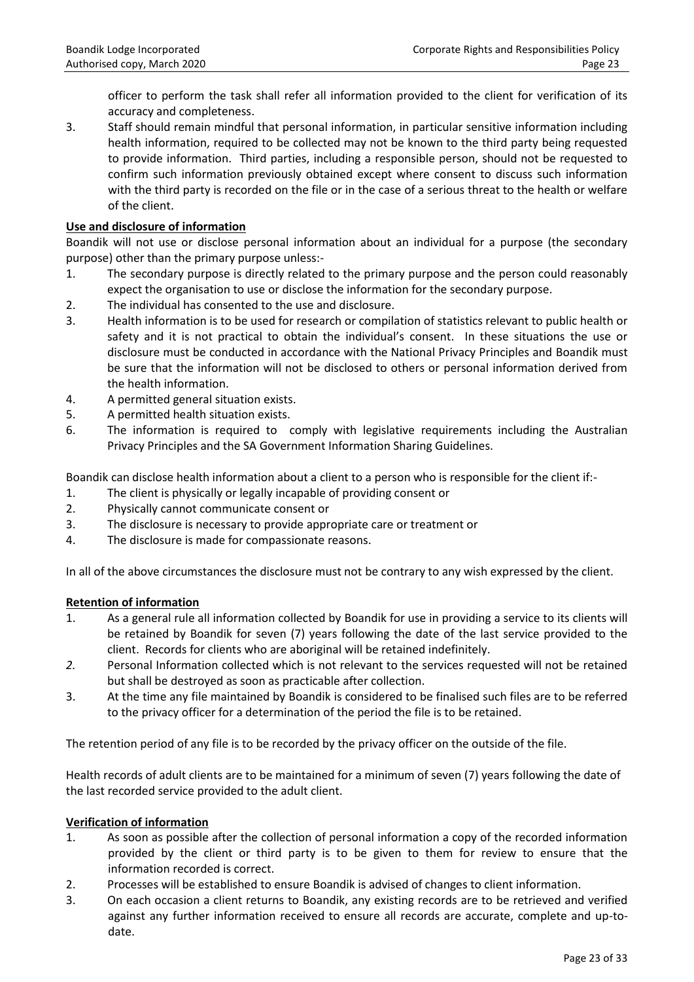officer to perform the task shall refer all information provided to the client for verification of its accuracy and completeness.

3. Staff should remain mindful that personal information, in particular sensitive information including health information, required to be collected may not be known to the third party being requested to provide information. Third parties, including a responsible person, should not be requested to confirm such information previously obtained except where consent to discuss such information with the third party is recorded on the file or in the case of a serious threat to the health or welfare of the client.

## **Use and disclosure of information**

Boandik will not use or disclose personal information about an individual for a purpose (the secondary purpose) other than the primary purpose unless:-

- 1. The secondary purpose is directly related to the primary purpose and the person could reasonably expect the organisation to use or disclose the information for the secondary purpose.
- 2. The individual has consented to the use and disclosure.
- 3. Health information is to be used for research or compilation of statistics relevant to public health or safety and it is not practical to obtain the individual's consent. In these situations the use or disclosure must be conducted in accordance with the National Privacy Principles and Boandik must be sure that the information will not be disclosed to others or personal information derived from the health information.
- 4. A permitted general situation exists.
- 5. A permitted health situation exists.
- 6. The information is required to comply with legislative requirements including the Australian Privacy Principles and the SA Government Information Sharing Guidelines.

Boandik can disclose health information about a client to a person who is responsible for the client if:-

- 1. The client is physically or legally incapable of providing consent or
- 2. Physically cannot communicate consent or
- 3. The disclosure is necessary to provide appropriate care or treatment or
- 4. The disclosure is made for compassionate reasons.

In all of the above circumstances the disclosure must not be contrary to any wish expressed by the client.

## **Retention of information**

- 1. As a general rule all information collected by Boandik for use in providing a service to its clients will be retained by Boandik for seven (7) years following the date of the last service provided to the client. Records for clients who are aboriginal will be retained indefinitely.
- *2.* Personal Information collected which is not relevant to the services requested will not be retained but shall be destroyed as soon as practicable after collection.
- 3. At the time any file maintained by Boandik is considered to be finalised such files are to be referred to the privacy officer for a determination of the period the file is to be retained.

The retention period of any file is to be recorded by the privacy officer on the outside of the file.

Health records of adult clients are to be maintained for a minimum of seven (7) years following the date of the last recorded service provided to the adult client.

## **Verification of information**

- 1. As soon as possible after the collection of personal information a copy of the recorded information provided by the client or third party is to be given to them for review to ensure that the information recorded is correct.
- 2. Processes will be established to ensure Boandik is advised of changes to client information.
- 3. On each occasion a client returns to Boandik, any existing records are to be retrieved and verified against any further information received to ensure all records are accurate, complete and up-todate.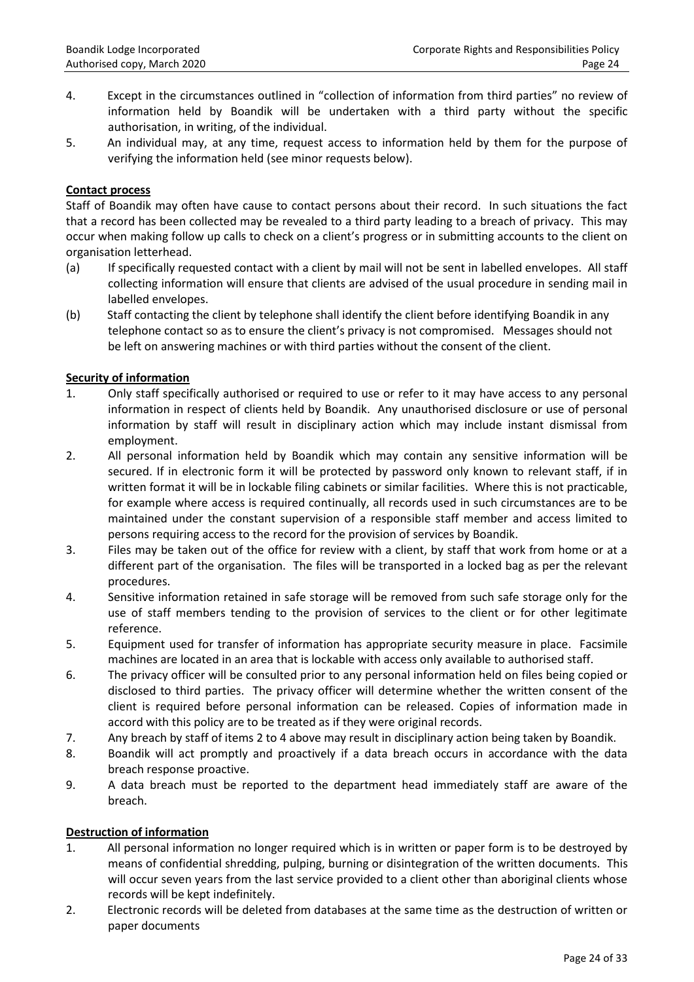- 4. Except in the circumstances outlined in "collection of information from third parties" no review of information held by Boandik will be undertaken with a third party without the specific authorisation, in writing, of the individual.
- 5. An individual may, at any time, request access to information held by them for the purpose of verifying the information held (see minor requests below).

## **Contact process**

Staff of Boandik may often have cause to contact persons about their record. In such situations the fact that a record has been collected may be revealed to a third party leading to a breach of privacy. This may occur when making follow up calls to check on a client's progress or in submitting accounts to the client on organisation letterhead.

- (a) If specifically requested contact with a client by mail will not be sent in labelled envelopes. All staff collecting information will ensure that clients are advised of the usual procedure in sending mail in labelled envelopes.
- (b) Staff contacting the client by telephone shall identify the client before identifying Boandik in any telephone contact so as to ensure the client's privacy is not compromised. Messages should not be left on answering machines or with third parties without the consent of the client.

## **Security of information**

- 1. Only staff specifically authorised or required to use or refer to it may have access to any personal information in respect of clients held by Boandik. Any unauthorised disclosure or use of personal information by staff will result in disciplinary action which may include instant dismissal from employment.
- 2. All personal information held by Boandik which may contain any sensitive information will be secured. If in electronic form it will be protected by password only known to relevant staff, if in written format it will be in lockable filing cabinets or similar facilities. Where this is not practicable, for example where access is required continually, all records used in such circumstances are to be maintained under the constant supervision of a responsible staff member and access limited to persons requiring access to the record for the provision of services by Boandik.
- 3. Files may be taken out of the office for review with a client, by staff that work from home or at a different part of the organisation. The files will be transported in a locked bag as per the relevant procedures.
- 4. Sensitive information retained in safe storage will be removed from such safe storage only for the use of staff members tending to the provision of services to the client or for other legitimate reference.
- 5. Equipment used for transfer of information has appropriate security measure in place. Facsimile machines are located in an area that is lockable with access only available to authorised staff.
- 6. The privacy officer will be consulted prior to any personal information held on files being copied or disclosed to third parties. The privacy officer will determine whether the written consent of the client is required before personal information can be released. Copies of information made in accord with this policy are to be treated as if they were original records.
- 7. Any breach by staff of items 2 to 4 above may result in disciplinary action being taken by Boandik.
- 8. Boandik will act promptly and proactively if a data breach occurs in accordance with the data breach response proactive.
- 9. A data breach must be reported to the department head immediately staff are aware of the breach.

## **Destruction of information**

- 1. All personal information no longer required which is in written or paper form is to be destroyed by means of confidential shredding, pulping, burning or disintegration of the written documents. This will occur seven years from the last service provided to a client other than aboriginal clients whose records will be kept indefinitely.
- 2. Electronic records will be deleted from databases at the same time as the destruction of written or paper documents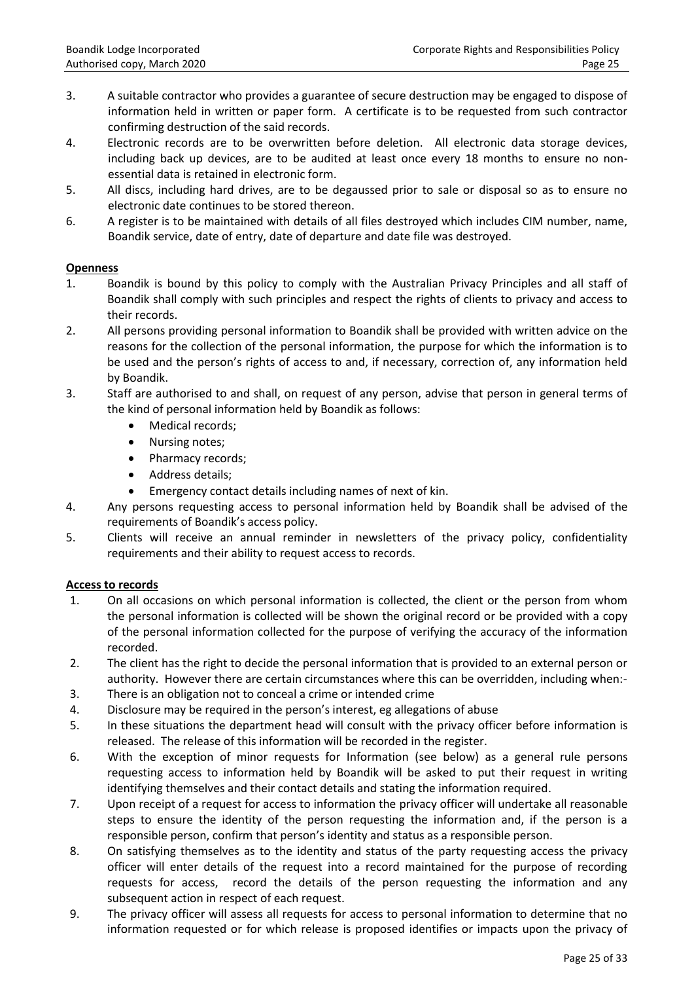- 3. A suitable contractor who provides a guarantee of secure destruction may be engaged to dispose of information held in written or paper form. A certificate is to be requested from such contractor confirming destruction of the said records.
- 4. Electronic records are to be overwritten before deletion. All electronic data storage devices, including back up devices, are to be audited at least once every 18 months to ensure no nonessential data is retained in electronic form.
- 5. All discs, including hard drives, are to be degaussed prior to sale or disposal so as to ensure no electronic date continues to be stored thereon.
- 6. A register is to be maintained with details of all files destroyed which includes CIM number, name, Boandik service, date of entry, date of departure and date file was destroyed.

## **Openness**

- 1. Boandik is bound by this policy to comply with the Australian Privacy Principles and all staff of Boandik shall comply with such principles and respect the rights of clients to privacy and access to their records.
- 2. All persons providing personal information to Boandik shall be provided with written advice on the reasons for the collection of the personal information, the purpose for which the information is to be used and the person's rights of access to and, if necessary, correction of, any information held by Boandik.
- 3. Staff are authorised to and shall, on request of any person, advise that person in general terms of the kind of personal information held by Boandik as follows:
	- Medical records;
	- Nursing notes;
	- Pharmacy records;
	- Address details:
	- Emergency contact details including names of next of kin.
- 4. Any persons requesting access to personal information held by Boandik shall be advised of the requirements of Boandik's access policy.
- 5. Clients will receive an annual reminder in newsletters of the privacy policy, confidentiality requirements and their ability to request access to records.

# **Access to records**

- 1. On all occasions on which personal information is collected, the client or the person from whom the personal information is collected will be shown the original record or be provided with a copy of the personal information collected for the purpose of verifying the accuracy of the information recorded.
- 2. The client has the right to decide the personal information that is provided to an external person or authority. However there are certain circumstances where this can be overridden, including when:-
- 3. There is an obligation not to conceal a crime or intended crime
- 4. Disclosure may be required in the person's interest, eg allegations of abuse
- 5. In these situations the department head will consult with the privacy officer before information is released. The release of this information will be recorded in the register.
- 6. With the exception of minor requests for Information (see below) as a general rule persons requesting access to information held by Boandik will be asked to put their request in writing identifying themselves and their contact details and stating the information required.
- 7. Upon receipt of a request for access to information the privacy officer will undertake all reasonable steps to ensure the identity of the person requesting the information and, if the person is a responsible person, confirm that person's identity and status as a responsible person.
- 8. On satisfying themselves as to the identity and status of the party requesting access the privacy officer will enter details of the request into a record maintained for the purpose of recording requests for access, record the details of the person requesting the information and any subsequent action in respect of each request.
- 9. The privacy officer will assess all requests for access to personal information to determine that no information requested or for which release is proposed identifies or impacts upon the privacy of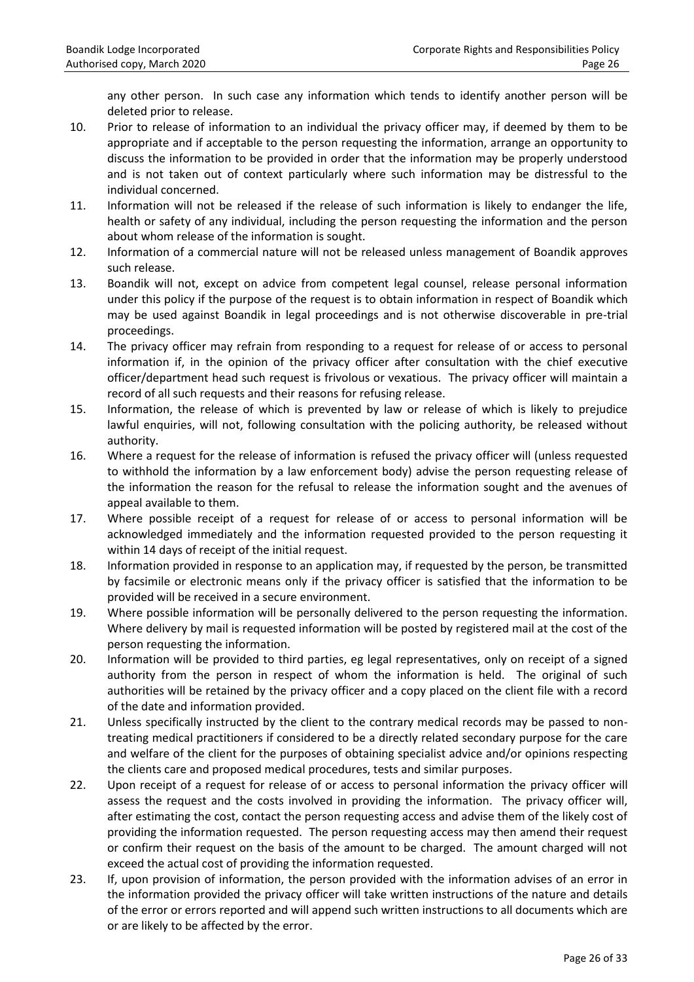any other person. In such case any information which tends to identify another person will be deleted prior to release.

- 10. Prior to release of information to an individual the privacy officer may, if deemed by them to be appropriate and if acceptable to the person requesting the information, arrange an opportunity to discuss the information to be provided in order that the information may be properly understood and is not taken out of context particularly where such information may be distressful to the individual concerned.
- 11. Information will not be released if the release of such information is likely to endanger the life, health or safety of any individual, including the person requesting the information and the person about whom release of the information is sought.
- 12. Information of a commercial nature will not be released unless management of Boandik approves such release.
- 13. Boandik will not, except on advice from competent legal counsel, release personal information under this policy if the purpose of the request is to obtain information in respect of Boandik which may be used against Boandik in legal proceedings and is not otherwise discoverable in pre-trial proceedings.
- 14. The privacy officer may refrain from responding to a request for release of or access to personal information if, in the opinion of the privacy officer after consultation with the chief executive officer/department head such request is frivolous or vexatious. The privacy officer will maintain a record of all such requests and their reasons for refusing release.
- 15. Information, the release of which is prevented by law or release of which is likely to prejudice lawful enquiries, will not, following consultation with the policing authority, be released without authority.
- 16. Where a request for the release of information is refused the privacy officer will (unless requested to withhold the information by a law enforcement body) advise the person requesting release of the information the reason for the refusal to release the information sought and the avenues of appeal available to them.
- 17. Where possible receipt of a request for release of or access to personal information will be acknowledged immediately and the information requested provided to the person requesting it within 14 days of receipt of the initial request.
- 18. Information provided in response to an application may, if requested by the person, be transmitted by facsimile or electronic means only if the privacy officer is satisfied that the information to be provided will be received in a secure environment.
- 19. Where possible information will be personally delivered to the person requesting the information. Where delivery by mail is requested information will be posted by registered mail at the cost of the person requesting the information.
- 20. Information will be provided to third parties, eg legal representatives, only on receipt of a signed authority from the person in respect of whom the information is held. The original of such authorities will be retained by the privacy officer and a copy placed on the client file with a record of the date and information provided.
- 21. Unless specifically instructed by the client to the contrary medical records may be passed to nontreating medical practitioners if considered to be a directly related secondary purpose for the care and welfare of the client for the purposes of obtaining specialist advice and/or opinions respecting the clients care and proposed medical procedures, tests and similar purposes.
- 22. Upon receipt of a request for release of or access to personal information the privacy officer will assess the request and the costs involved in providing the information. The privacy officer will, after estimating the cost, contact the person requesting access and advise them of the likely cost of providing the information requested. The person requesting access may then amend their request or confirm their request on the basis of the amount to be charged. The amount charged will not exceed the actual cost of providing the information requested.
- 23. If, upon provision of information, the person provided with the information advises of an error in the information provided the privacy officer will take written instructions of the nature and details of the error or errors reported and will append such written instructions to all documents which are or are likely to be affected by the error.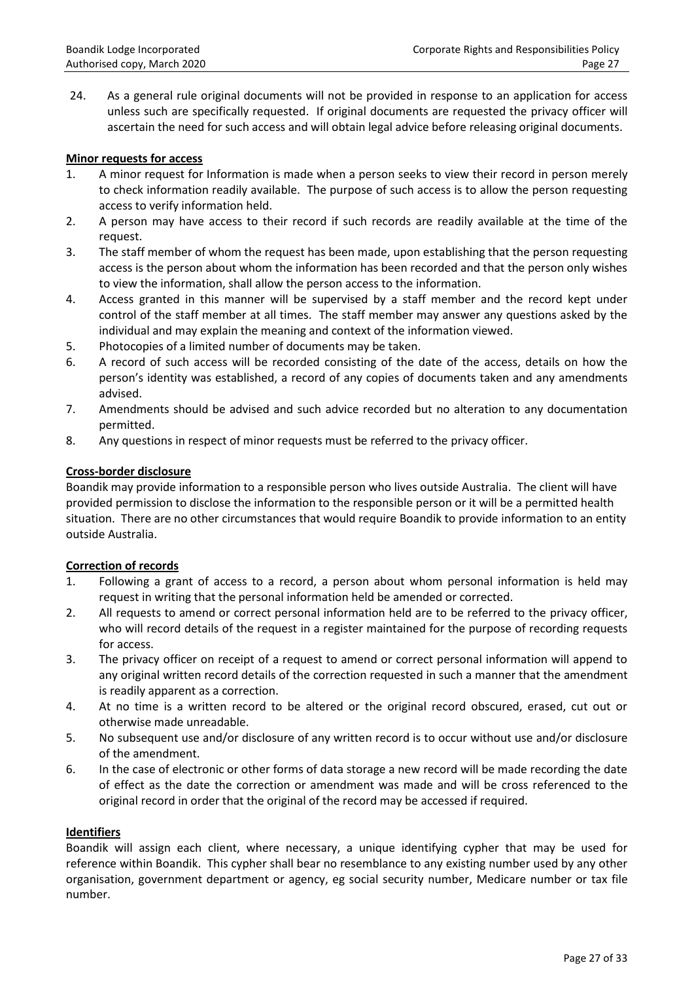24. As a general rule original documents will not be provided in response to an application for access unless such are specifically requested. If original documents are requested the privacy officer will ascertain the need for such access and will obtain legal advice before releasing original documents.

## **Minor requests for access**

- 1. A minor request for Information is made when a person seeks to view their record in person merely to check information readily available. The purpose of such access is to allow the person requesting access to verify information held.
- 2. A person may have access to their record if such records are readily available at the time of the request.
- 3. The staff member of whom the request has been made, upon establishing that the person requesting access is the person about whom the information has been recorded and that the person only wishes to view the information, shall allow the person access to the information.
- 4. Access granted in this manner will be supervised by a staff member and the record kept under control of the staff member at all times. The staff member may answer any questions asked by the individual and may explain the meaning and context of the information viewed.
- 5. Photocopies of a limited number of documents may be taken.
- 6. A record of such access will be recorded consisting of the date of the access, details on how the person's identity was established, a record of any copies of documents taken and any amendments advised.
- 7. Amendments should be advised and such advice recorded but no alteration to any documentation permitted.
- 8. Any questions in respect of minor requests must be referred to the privacy officer.

## **Cross-border disclosure**

Boandik may provide information to a responsible person who lives outside Australia. The client will have provided permission to disclose the information to the responsible person or it will be a permitted health situation. There are no other circumstances that would require Boandik to provide information to an entity outside Australia.

# **Correction of records**

- 1. Following a grant of access to a record, a person about whom personal information is held may request in writing that the personal information held be amended or corrected.
- 2. All requests to amend or correct personal information held are to be referred to the privacy officer, who will record details of the request in a register maintained for the purpose of recording requests for access.
- 3. The privacy officer on receipt of a request to amend or correct personal information will append to any original written record details of the correction requested in such a manner that the amendment is readily apparent as a correction.
- 4. At no time is a written record to be altered or the original record obscured, erased, cut out or otherwise made unreadable.
- 5. No subsequent use and/or disclosure of any written record is to occur without use and/or disclosure of the amendment.
- 6. In the case of electronic or other forms of data storage a new record will be made recording the date of effect as the date the correction or amendment was made and will be cross referenced to the original record in order that the original of the record may be accessed if required.

# **Identifiers**

Boandik will assign each client, where necessary, a unique identifying cypher that may be used for reference within Boandik. This cypher shall bear no resemblance to any existing number used by any other organisation, government department or agency, eg social security number, Medicare number or tax file number.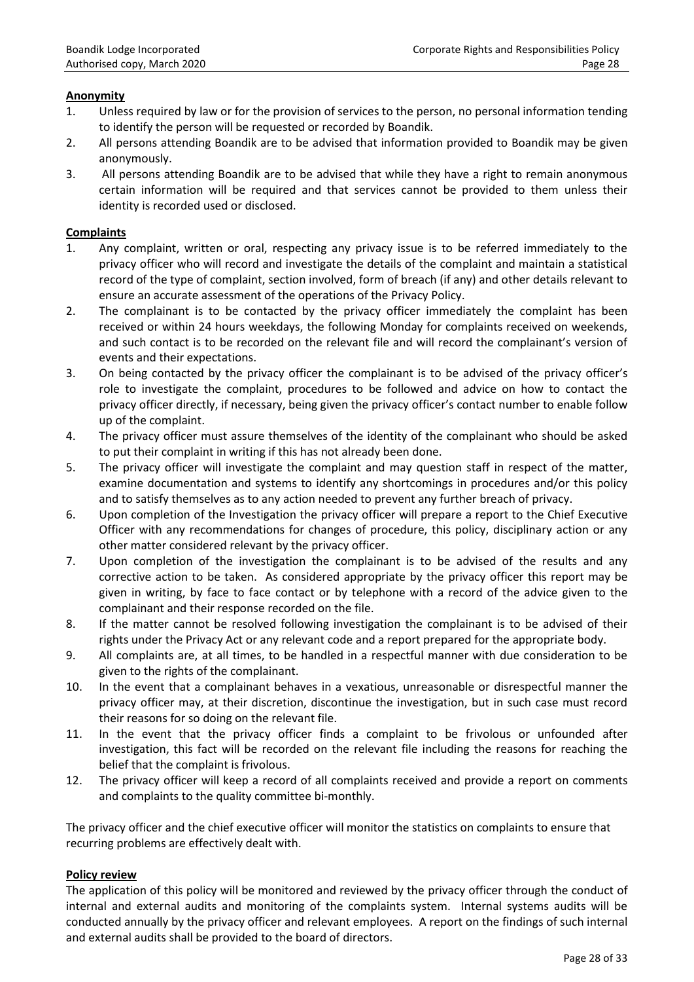# **Anonymity**

- 1. Unless required by law or for the provision of services to the person, no personal information tending to identify the person will be requested or recorded by Boandik.
- 2. All persons attending Boandik are to be advised that information provided to Boandik may be given anonymously.
- 3. All persons attending Boandik are to be advised that while they have a right to remain anonymous certain information will be required and that services cannot be provided to them unless their identity is recorded used or disclosed.

## **Complaints**

- 1. Any complaint, written or oral, respecting any privacy issue is to be referred immediately to the privacy officer who will record and investigate the details of the complaint and maintain a statistical record of the type of complaint, section involved, form of breach (if any) and other details relevant to ensure an accurate assessment of the operations of the Privacy Policy.
- 2. The complainant is to be contacted by the privacy officer immediately the complaint has been received or within 24 hours weekdays, the following Monday for complaints received on weekends, and such contact is to be recorded on the relevant file and will record the complainant's version of events and their expectations.
- 3. On being contacted by the privacy officer the complainant is to be advised of the privacy officer's role to investigate the complaint, procedures to be followed and advice on how to contact the privacy officer directly, if necessary, being given the privacy officer's contact number to enable follow up of the complaint.
- 4. The privacy officer must assure themselves of the identity of the complainant who should be asked to put their complaint in writing if this has not already been done.
- 5. The privacy officer will investigate the complaint and may question staff in respect of the matter, examine documentation and systems to identify any shortcomings in procedures and/or this policy and to satisfy themselves as to any action needed to prevent any further breach of privacy.
- 6. Upon completion of the Investigation the privacy officer will prepare a report to the Chief Executive Officer with any recommendations for changes of procedure, this policy, disciplinary action or any other matter considered relevant by the privacy officer.
- 7. Upon completion of the investigation the complainant is to be advised of the results and any corrective action to be taken. As considered appropriate by the privacy officer this report may be given in writing, by face to face contact or by telephone with a record of the advice given to the complainant and their response recorded on the file.
- 8. If the matter cannot be resolved following investigation the complainant is to be advised of their rights under the Privacy Act or any relevant code and a report prepared for the appropriate body.
- 9. All complaints are, at all times, to be handled in a respectful manner with due consideration to be given to the rights of the complainant.
- 10. In the event that a complainant behaves in a vexatious, unreasonable or disrespectful manner the privacy officer may, at their discretion, discontinue the investigation, but in such case must record their reasons for so doing on the relevant file.
- 11. In the event that the privacy officer finds a complaint to be frivolous or unfounded after investigation, this fact will be recorded on the relevant file including the reasons for reaching the belief that the complaint is frivolous.
- 12. The privacy officer will keep a record of all complaints received and provide a report on comments and complaints to the quality committee bi-monthly.

The privacy officer and the chief executive officer will monitor the statistics on complaints to ensure that recurring problems are effectively dealt with.

## **Policy review**

The application of this policy will be monitored and reviewed by the privacy officer through the conduct of internal and external audits and monitoring of the complaints system. Internal systems audits will be conducted annually by the privacy officer and relevant employees. A report on the findings of such internal and external audits shall be provided to the board of directors.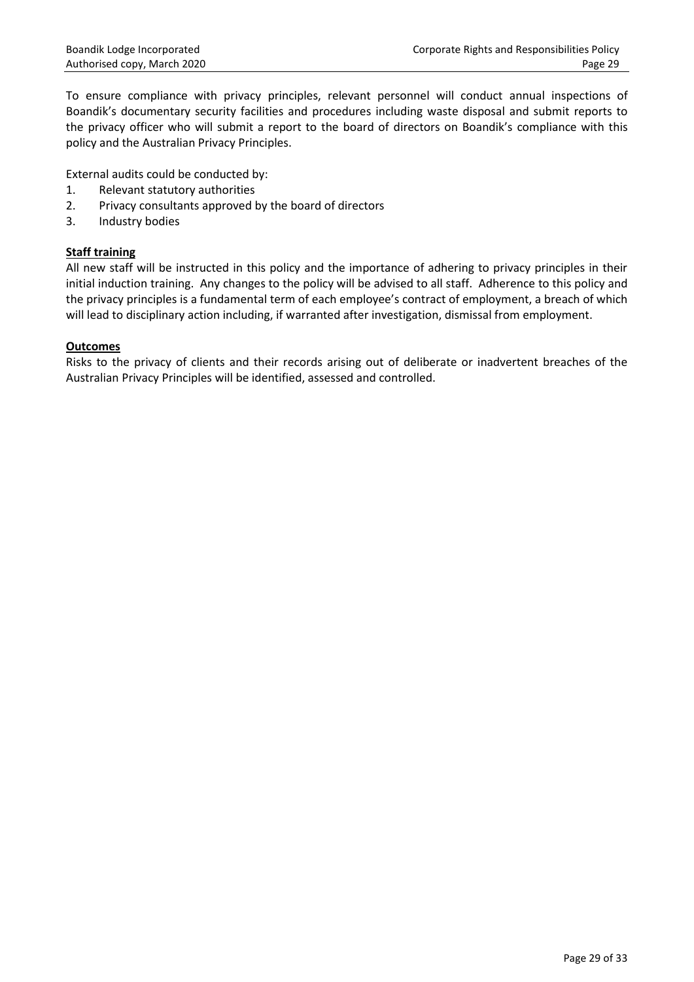To ensure compliance with privacy principles, relevant personnel will conduct annual inspections of Boandik's documentary security facilities and procedures including waste disposal and submit reports to the privacy officer who will submit a report to the board of directors on Boandik's compliance with this policy and the Australian Privacy Principles.

External audits could be conducted by:

- 1. Relevant statutory authorities
- 2. Privacy consultants approved by the board of directors
- 3. Industry bodies

## **Staff training**

All new staff will be instructed in this policy and the importance of adhering to privacy principles in their initial induction training. Any changes to the policy will be advised to all staff. Adherence to this policy and the privacy principles is a fundamental term of each employee's contract of employment, a breach of which will lead to disciplinary action including, if warranted after investigation, dismissal from employment.

## **Outcomes**

Risks to the privacy of clients and their records arising out of deliberate or inadvertent breaches of the Australian Privacy Principles will be identified, assessed and controlled.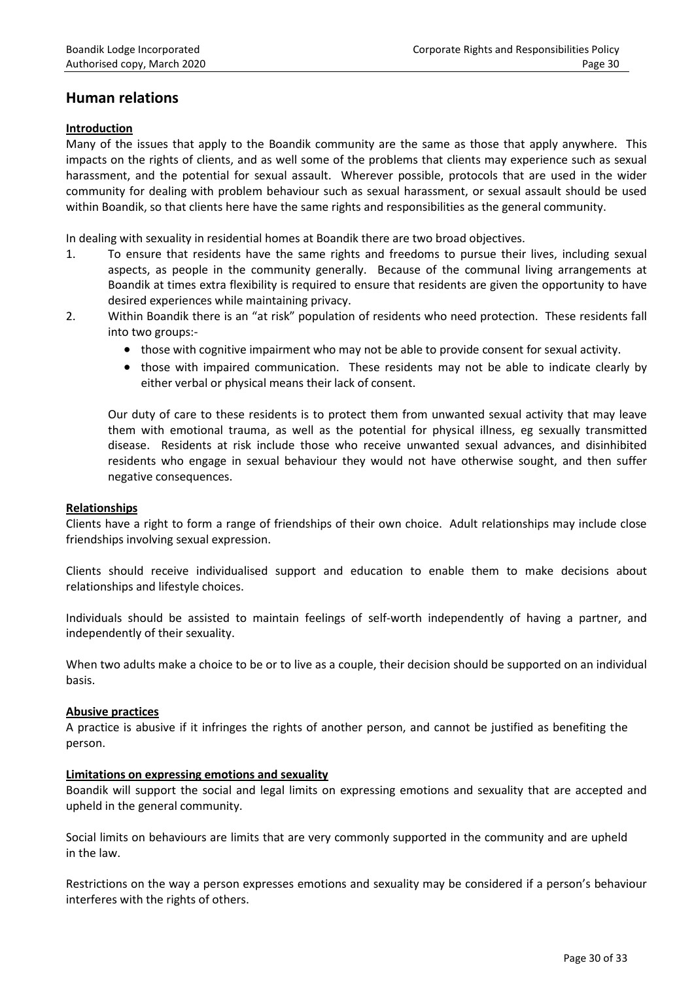# **Human relations**

## **Introduction**

Many of the issues that apply to the Boandik community are the same as those that apply anywhere. This impacts on the rights of clients, and as well some of the problems that clients may experience such as sexual harassment, and the potential for sexual assault. Wherever possible, protocols that are used in the wider community for dealing with problem behaviour such as sexual harassment, or sexual assault should be used within Boandik, so that clients here have the same rights and responsibilities as the general community.

In dealing with sexuality in residential homes at Boandik there are two broad objectives.

- 1. To ensure that residents have the same rights and freedoms to pursue their lives, including sexual aspects, as people in the community generally. Because of the communal living arrangements at Boandik at times extra flexibility is required to ensure that residents are given the opportunity to have desired experiences while maintaining privacy.
- 2. Within Boandik there is an "at risk" population of residents who need protection. These residents fall into two groups:-
	- those with cognitive impairment who may not be able to provide consent for sexual activity.
	- those with impaired communication. These residents may not be able to indicate clearly by either verbal or physical means their lack of consent.

Our duty of care to these residents is to protect them from unwanted sexual activity that may leave them with emotional trauma, as well as the potential for physical illness, eg sexually transmitted disease. Residents at risk include those who receive unwanted sexual advances, and disinhibited residents who engage in sexual behaviour they would not have otherwise sought, and then suffer negative consequences.

## **Relationships**

Clients have a right to form a range of friendships of their own choice. Adult relationships may include close friendships involving sexual expression.

Clients should receive individualised support and education to enable them to make decisions about relationships and lifestyle choices.

Individuals should be assisted to maintain feelings of self-worth independently of having a partner, and independently of their sexuality.

When two adults make a choice to be or to live as a couple, their decision should be supported on an individual basis.

## **Abusive practices**

A practice is abusive if it infringes the rights of another person, and cannot be justified as benefiting the person.

## **Limitations on expressing emotions and sexuality**

Boandik will support the social and legal limits on expressing emotions and sexuality that are accepted and upheld in the general community.

Social limits on behaviours are limits that are very commonly supported in the community and are upheld in the law.

Restrictions on the way a person expresses emotions and sexuality may be considered if a person's behaviour interferes with the rights of others.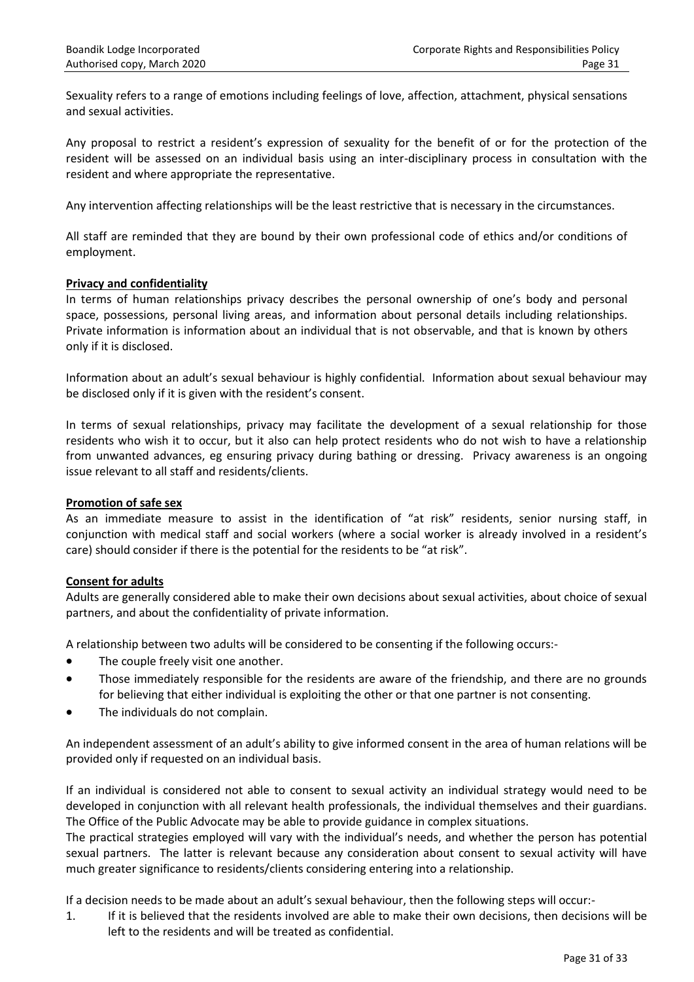Sexuality refers to a range of emotions including feelings of love, affection, attachment, physical sensations and sexual activities.

Any proposal to restrict a resident's expression of sexuality for the benefit of or for the protection of the resident will be assessed on an individual basis using an inter-disciplinary process in consultation with the resident and where appropriate the representative.

Any intervention affecting relationships will be the least restrictive that is necessary in the circumstances.

All staff are reminded that they are bound by their own professional code of ethics and/or conditions of employment.

## **Privacy and confidentiality**

In terms of human relationships privacy describes the personal ownership of one's body and personal space, possessions, personal living areas, and information about personal details including relationships. Private information is information about an individual that is not observable, and that is known by others only if it is disclosed.

Information about an adult's sexual behaviour is highly confidential. Information about sexual behaviour may be disclosed only if it is given with the resident's consent.

In terms of sexual relationships, privacy may facilitate the development of a sexual relationship for those residents who wish it to occur, but it also can help protect residents who do not wish to have a relationship from unwanted advances, eg ensuring privacy during bathing or dressing. Privacy awareness is an ongoing issue relevant to all staff and residents/clients.

## **Promotion of safe sex**

As an immediate measure to assist in the identification of "at risk" residents, senior nursing staff, in conjunction with medical staff and social workers (where a social worker is already involved in a resident's care) should consider if there is the potential for the residents to be "at risk".

## **Consent for adults**

Adults are generally considered able to make their own decisions about sexual activities, about choice of sexual partners, and about the confidentiality of private information.

A relationship between two adults will be considered to be consenting if the following occurs:-

- The couple freely visit one another.
- Those immediately responsible for the residents are aware of the friendship, and there are no grounds for believing that either individual is exploiting the other or that one partner is not consenting.
- The individuals do not complain.

An independent assessment of an adult's ability to give informed consent in the area of human relations will be provided only if requested on an individual basis.

If an individual is considered not able to consent to sexual activity an individual strategy would need to be developed in conjunction with all relevant health professionals, the individual themselves and their guardians. The Office of the Public Advocate may be able to provide guidance in complex situations.

The practical strategies employed will vary with the individual's needs, and whether the person has potential sexual partners. The latter is relevant because any consideration about consent to sexual activity will have much greater significance to residents/clients considering entering into a relationship.

If a decision needs to be made about an adult's sexual behaviour, then the following steps will occur:-

1. If it is believed that the residents involved are able to make their own decisions, then decisions will be left to the residents and will be treated as confidential.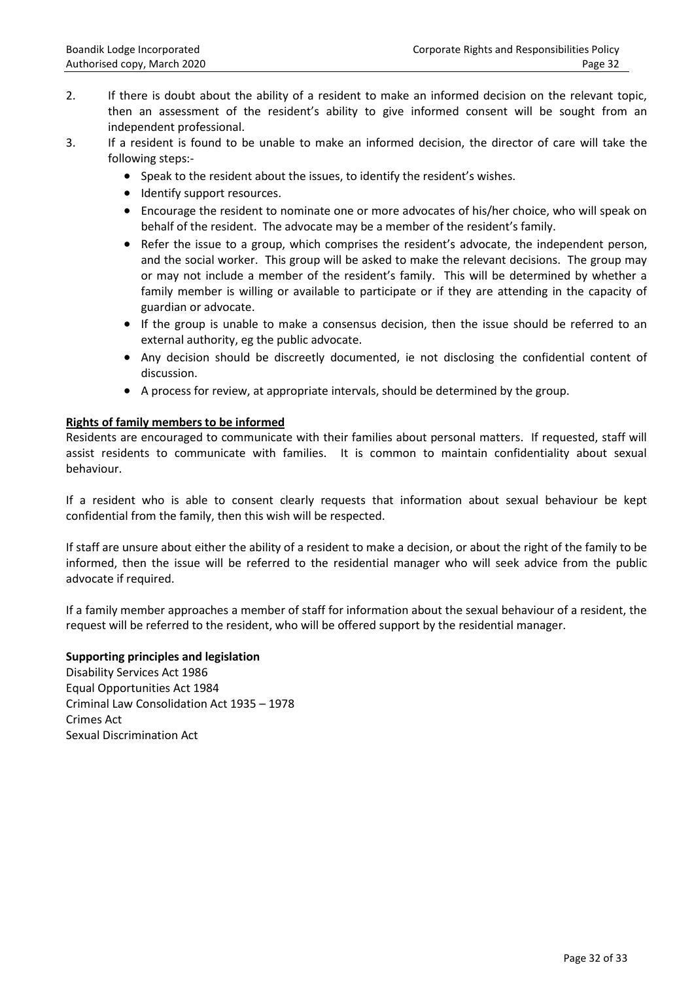- 2. If there is doubt about the ability of a resident to make an informed decision on the relevant topic, then an assessment of the resident's ability to give informed consent will be sought from an independent professional.
- 3. If a resident is found to be unable to make an informed decision, the director of care will take the following steps:-
	- Speak to the resident about the issues, to identify the resident's wishes.
	- Identify support resources.
	- Encourage the resident to nominate one or more advocates of his/her choice, who will speak on behalf of the resident. The advocate may be a member of the resident's family.
	- Refer the issue to a group, which comprises the resident's advocate, the independent person, and the social worker. This group will be asked to make the relevant decisions. The group may or may not include a member of the resident's family. This will be determined by whether a family member is willing or available to participate or if they are attending in the capacity of guardian or advocate.
	- If the group is unable to make a consensus decision, then the issue should be referred to an external authority, eg the public advocate.
	- Any decision should be discreetly documented, ie not disclosing the confidential content of discussion.
	- A process for review, at appropriate intervals, should be determined by the group.

## **Rights of family members to be informed**

Residents are encouraged to communicate with their families about personal matters. If requested, staff will assist residents to communicate with families. It is common to maintain confidentiality about sexual behaviour.

If a resident who is able to consent clearly requests that information about sexual behaviour be kept confidential from the family, then this wish will be respected.

If staff are unsure about either the ability of a resident to make a decision, or about the right of the family to be informed, then the issue will be referred to the residential manager who will seek advice from the public advocate if required.

If a family member approaches a member of staff for information about the sexual behaviour of a resident, the request will be referred to the resident, who will be offered support by the residential manager.

## **Supporting principles and legislation**

Disability Services Act 1986 Equal Opportunities Act 1984 Criminal Law Consolidation Act 1935 – 1978 Crimes Act Sexual Discrimination Act